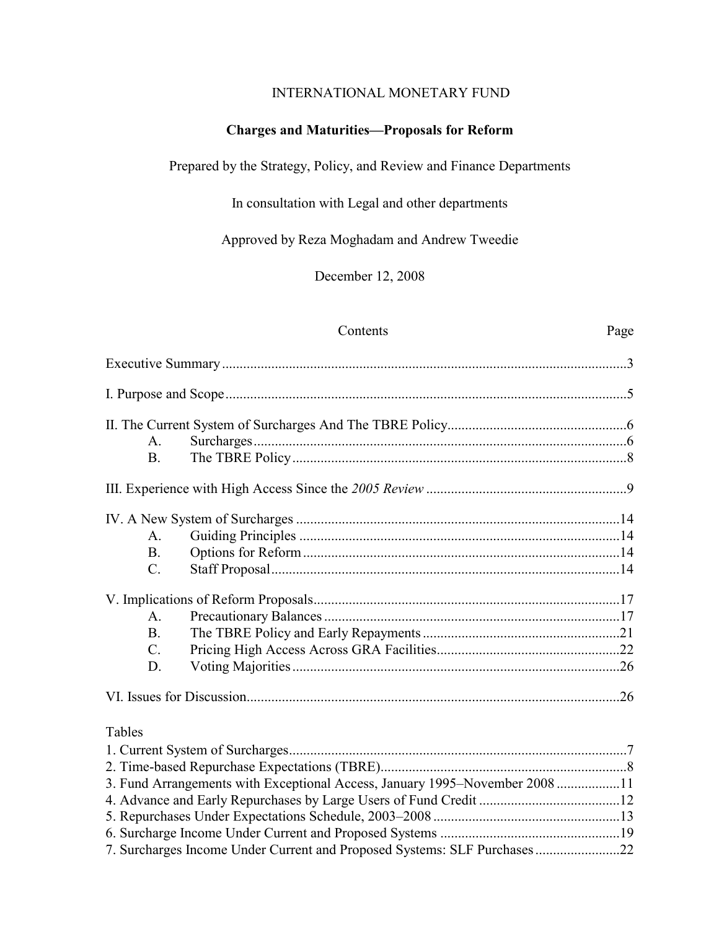### INTERNATIONAL MONETARY FUND

### **Charges and Maturities—Proposals for Reform**

### Prepared by the Strategy, Policy, and Review and Finance Departments

In consultation with Legal and other departments

Approved by Reza Moghadam and Andrew Tweedie

December 12, 2008

#### Contents Page

| A.              |                                                                             |  |
|-----------------|-----------------------------------------------------------------------------|--|
| B <sub>1</sub>  |                                                                             |  |
|                 |                                                                             |  |
|                 |                                                                             |  |
| A <sub>1</sub>  |                                                                             |  |
| B <sub>r</sub>  |                                                                             |  |
| $\mathcal{C}$ . |                                                                             |  |
|                 |                                                                             |  |
| $\mathbf{A}$ .  |                                                                             |  |
| B <sub>1</sub>  |                                                                             |  |
| $\mathcal{C}$ . |                                                                             |  |
| D.              |                                                                             |  |
|                 |                                                                             |  |
| Tables          |                                                                             |  |
|                 |                                                                             |  |
|                 |                                                                             |  |
|                 | 3. Fund Arrangements with Exceptional Access, January 1995–November 2008 11 |  |
|                 |                                                                             |  |
|                 |                                                                             |  |
|                 |                                                                             |  |

[7. Surcharges Income Under Current and Proposed Systems: SLF Purchases ........................22](#page-21-0)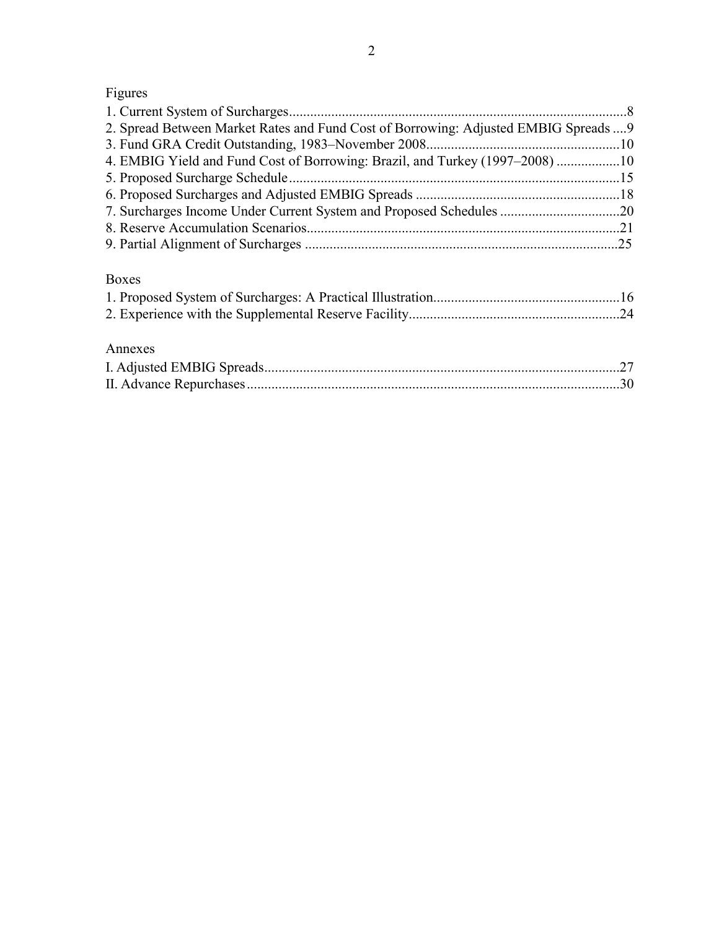# Figures

| 2. Spread Between Market Rates and Fund Cost of Borrowing: Adjusted EMBIG Spreads  9 |  |
|--------------------------------------------------------------------------------------|--|
|                                                                                      |  |
| 4. EMBIG Yield and Fund Cost of Borrowing: Brazil, and Turkey (1997–2008) 10         |  |
|                                                                                      |  |
|                                                                                      |  |
|                                                                                      |  |
|                                                                                      |  |
|                                                                                      |  |
| <b>Boxes</b>                                                                         |  |
|                                                                                      |  |
|                                                                                      |  |
|                                                                                      |  |
| Annexes                                                                              |  |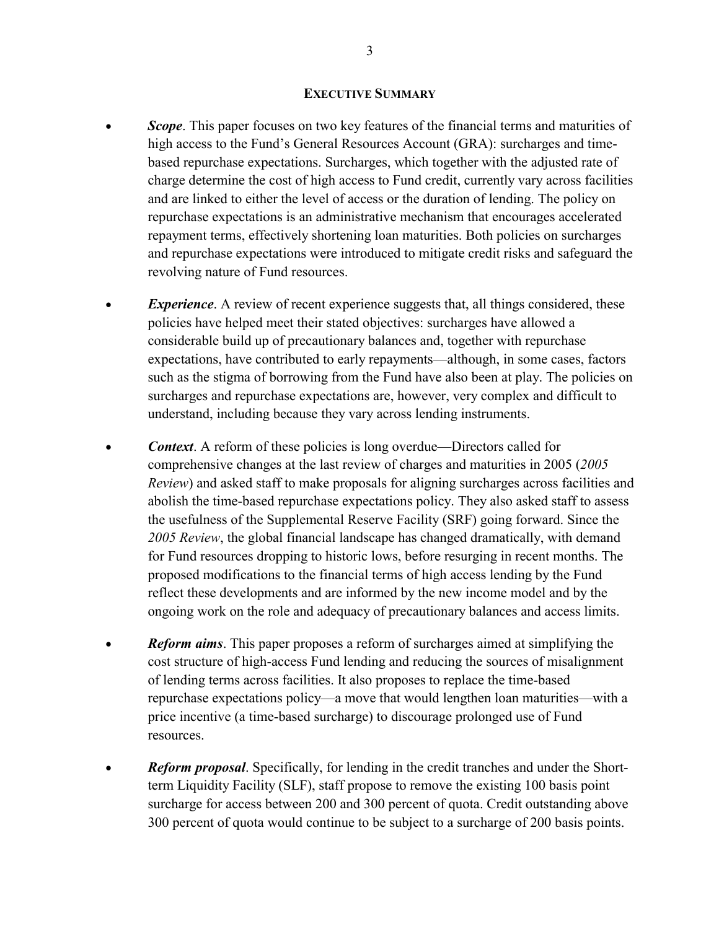#### **EXECUTIVE SUMMARY**

- <span id="page-2-0"></span>• *Scope*. This paper focuses on two key features of the financial terms and maturities of high access to the Fund's General Resources Account (GRA): surcharges and timebased repurchase expectations. Surcharges, which together with the adjusted rate of charge determine the cost of high access to Fund credit, currently vary across facilities and are linked to either the level of access or the duration of lending. The policy on repurchase expectations is an administrative mechanism that encourages accelerated repayment terms, effectively shortening loan maturities. Both policies on surcharges and repurchase expectations were introduced to mitigate credit risks and safeguard the revolving nature of Fund resources.
- **Experience**. A review of recent experience suggests that, all things considered, these policies have helped meet their stated objectives: surcharges have allowed a considerable build up of precautionary balances and, together with repurchase expectations, have contributed to early repayments—although, in some cases, factors such as the stigma of borrowing from the Fund have also been at play. The policies on surcharges and repurchase expectations are, however, very complex and difficult to understand, including because they vary across lending instruments.
- *Context*. A reform of these policies is long overdue—Directors called for comprehensive changes at the last review of charges and maturities in 2005 (*2005 Review*) and asked staff to make proposals for aligning surcharges across facilities and abolish the time-based repurchase expectations policy. They also asked staff to assess the usefulness of the Supplemental Reserve Facility (SRF) going forward. Since the *2005 Review*, the global financial landscape has changed dramatically, with demand for Fund resources dropping to historic lows, before resurging in recent months. The proposed modifications to the financial terms of high access lending by the Fund reflect these developments and are informed by the new income model and by the ongoing work on the role and adequacy of precautionary balances and access limits.
- *Reform aims*. This paper proposes a reform of surcharges aimed at simplifying the cost structure of high-access Fund lending and reducing the sources of misalignment of lending terms across facilities. It also proposes to replace the time-based repurchase expectations policy—a move that would lengthen loan maturities—with a price incentive (a time-based surcharge) to discourage prolonged use of Fund resources.
- *Reform proposal*. Specifically, for lending in the credit tranches and under the Shortterm Liquidity Facility (SLF), staff propose to remove the existing 100 basis point surcharge for access between 200 and 300 percent of quota. Credit outstanding above 300 percent of quota would continue to be subject to a surcharge of 200 basis points.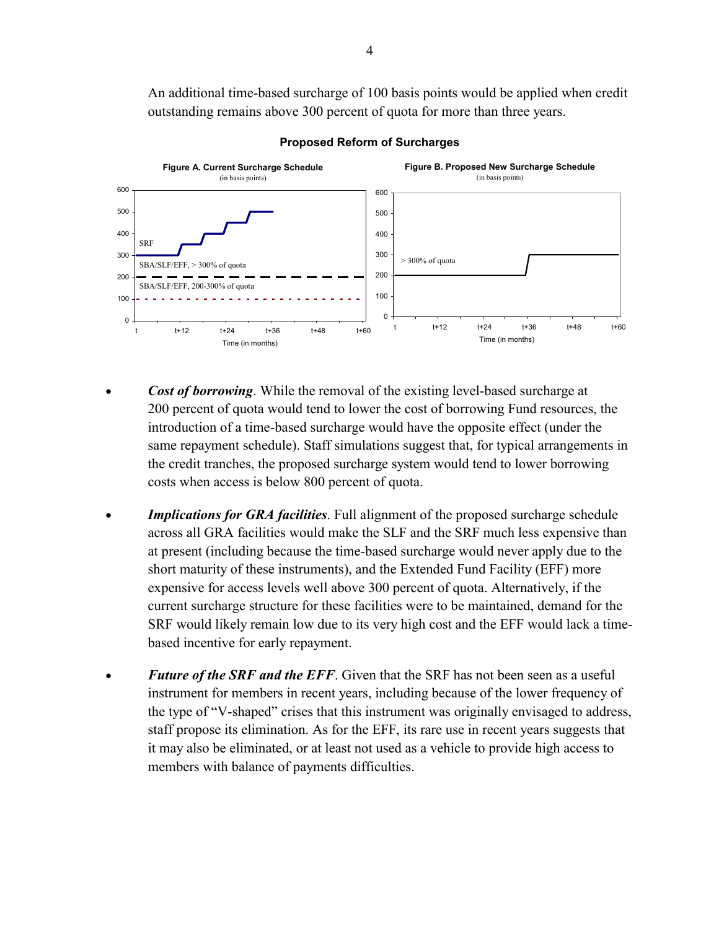An additional time-based surcharge of 100 basis points would be applied when credit outstanding remains above 300 percent of quota for more than three years.



**Proposed Reform of Surcharges** 

- *Cost of borrowing*. While the removal of the existing level-based surcharge at 200 percent of quota would tend to lower the cost of borrowing Fund resources, the introduction of a time-based surcharge would have the opposite effect (under the same repayment schedule). Staff simulations suggest that, for typical arrangements in the credit tranches, the proposed surcharge system would tend to lower borrowing costs when access is below 800 percent of quota.
- **Implications for GRA facilities**. Full alignment of the proposed surcharge schedule across all GRA facilities would make the SLF and the SRF much less expensive than at present (including because the time-based surcharge would never apply due to the short maturity of these instruments), and the Extended Fund Facility (EFF) more expensive for access levels well above 300 percent of quota. Alternatively, if the current surcharge structure for these facilities were to be maintained, demand for the SRF would likely remain low due to its very high cost and the EFF would lack a timebased incentive for early repayment.
- **Future of the SRF and the EFF.** Given that the SRF has not been seen as a useful instrument for members in recent years, including because of the lower frequency of the type of "V-shaped" crises that this instrument was originally envisaged to address, staff propose its elimination. As for the EFF, its rare use in recent years suggests that it may also be eliminated, or at least not used as a vehicle to provide high access to members with balance of payments difficulties.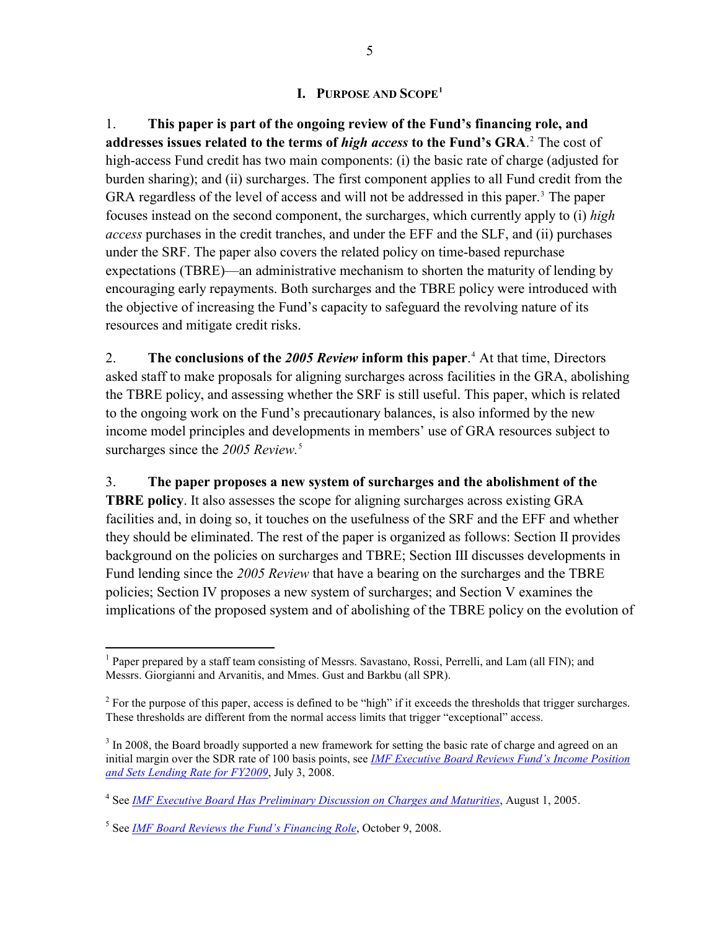### **I. PURPOSE AND SCOPE[1](#page-4-1)**

<span id="page-4-0"></span>1. **This paper is part of the ongoing review of the Fund's financing role, and addresses issues related to the terms of** *high access* **to the Fund's GRA**. [2](#page-4-2) The cost of high-access Fund credit has two main components: (i) the basic rate of charge (adjusted for burden sharing); and (ii) surcharges. The first component applies to all Fund credit from the GRA regardless of the level of access and will not be addressed in this paper.<sup>[3](#page-4-3)</sup> The paper resources and mitigate credit risks. focuses instead on the second component, the surcharges, which currently apply to (i) *high access* purchases in the credit tranches, and under the EFF and the SLF, and (ii) purchases under the SRF. The paper also covers the related policy on time-based repurchase expectations (TBRE)—an administrative mechanism to shorten the maturity of lending by encouraging early repayments. Both surcharges and the TBRE policy were introduced with the objective of increasing the Fund's capacity to safeguard the revolving nature of its

2. **The conclusions of the** *2005 Review* **inform this paper**. [4](#page-4-4) At that time, Directors asked staff to make proposals for aligning surcharges across facilities in the GRA, abolishing the TBRE policy, and assessing whether the SRF is still useful. This paper, which is related to the ongoing work on the Fund's precautionary balances, is also informed by the new income model principles and developments in members' use of GRA resources subject to surcharges since the 200[5](#page-4-5) Review.<sup>5</sup>

### 3. **The paper proposes a new system of surcharges and the abolishment of the**

**TBRE policy**. It also assesses the scope for aligning surcharges across existing GRA facilities and, in doing so, it touches on the usefulness of the SRF and the EFF and whether they should be eliminated. The rest of the paper is organized as follows: Section II provides background on the policies on surcharges and TBRE; Section III discusses developments in Fund lending since the *2005 Review* that have a bearing on the surcharges and the TBRE policies; Section IV proposes a new system of surcharges; and Section V examines the implications of the proposed system and of abolishing of the TBRE policy on the evolution of

<span id="page-4-1"></span> $\overline{a}$ <sup>1</sup> Paper prepared by a staff team consisting of Messrs. Savastano, Rossi, Perrelli, and Lam (all FIN); and Messrs. Giorgianni and Arvanitis, and Mmes. Gust and Barkbu (all SPR).

<span id="page-4-2"></span> $2^2$  For the purpose of this paper, access is defined to be "high" if it exceeds the thresholds that trigger surcharges. These thresholds are different from the normal access limits that trigger "exceptional" access.

<span id="page-4-3"></span> $3 \text{ In } 2008$ , the Board broadly supported a new framework for setting the basic rate of charge and agreed on an initial margin over the SDR rate of 100 basis points, see *[IMF Executive Board Reviews Fund's Income Position](http://www.imf.org/external/np/sec/pr/2008/pr08160.htm)  [and Sets Lending Rate for FY2009](http://www.imf.org/external/np/sec/pr/2008/pr08160.htm)*, July 3, 2008.

<span id="page-4-4"></span><sup>4</sup> See *[IMF Executive Board Has Preliminary Discussion on Charges and Maturities](http://www.imf.org/external/np/sec/pn/2005/pn05101.htm)*, August 1, 2005.

<span id="page-4-5"></span><sup>5</sup> See *[IMF Board Reviews the Fund's Financing Role](http://www.imf.org/external/np/sec/pn/2008/pn08131.htm)*, October 9, 2008.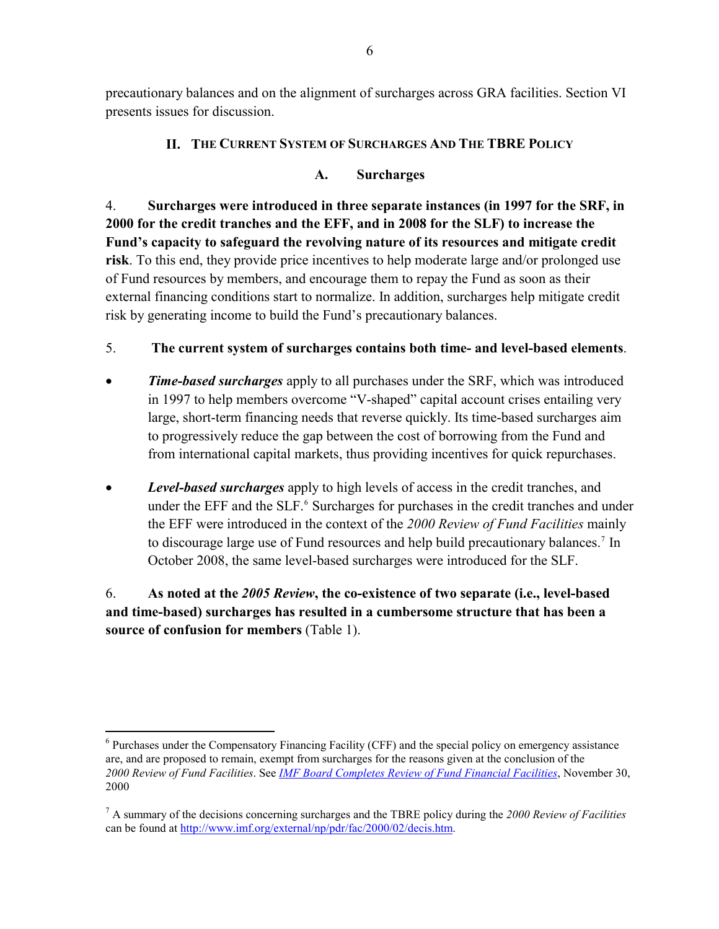<span id="page-5-0"></span>precautionary balances and on the alignment of surcharges across GRA facilities. Section VI presents issues for discussion.

### **II. THE CURRENT SYSTEM OF SURCHARGES AND THE TBRE POLICY**

### **A. Surcharges**

4. **Surcharges were introduced in three separate instances (in 1997 for the SRF, in 2000 for the credit tranches and the EFF, and in 2008 for the SLF) to increase the Fund's capacity to safeguard the revolving nature of its resources and mitigate credit risk**. To this end, they provide price incentives to help moderate large and/or prolonged use of Fund resources by members, and encourage them to repay the Fund as soon as their external financing conditions start to normalize. In addition, surcharges help mitigate credit risk by generating income to build the Fund's precautionary balances.

# 5. **The current system of surcharges contains both time- and level-based elements**.

- *Time-based surcharges* apply to all purchases under the SRF, which was introduced in 1997 to help members overcome "V-shaped" capital account crises entailing very large, short-term financing needs that reverse quickly. Its time-based surcharges aim to progressively reduce the gap between the cost of borrowing from the Fund and from international capital markets, thus providing incentives for quick repurchases.
- *Level-based surcharges* apply to high levels of access in the credit tranches, and under the EFF and the SLF.<sup>[6](#page-5-1)</sup> Surcharges for purchases in the credit tranches and under the EFF were introduced in the context of the *2000 Review of Fund Facilities* mainly to discourage large use of Fund resources and help build precautionary balances.<sup>[7](#page-5-2)</sup> In October 2008, the same level-based surcharges were introduced for the SLF.

# 6. **As noted at the** *2005 Review***, the co-existence of two separate (i.e., level-based and time-based) surcharges has resulted in a cumbersome structure that has been a source of confusion for members** (Table 1).

1

<span id="page-5-1"></span><sup>&</sup>lt;sup>6</sup> Purchases under the Compensatory Financing Facility (CFF) and the special policy on emergency assistance are, and are proposed to remain, exempt from surcharges for the reasons given at the conclusion of the *2000 Review of Fund Facilities*. See *[IMF Board Completes Review of Fund Financial Facilities](http://www.imf.org/external/np/sec/pn/2000/pn00101.htm)*, November 30, 2000

<span id="page-5-2"></span><sup>7</sup> A summary of the decisions concerning surcharges and the TBRE policy during the *2000 Review of Facilities* can be found at [http://www.imf.org/external/np/pdr/fac/2000/02/decis.htm.](http://www.imf.org/external/np/pdr/fac/2000/02/decis.htm)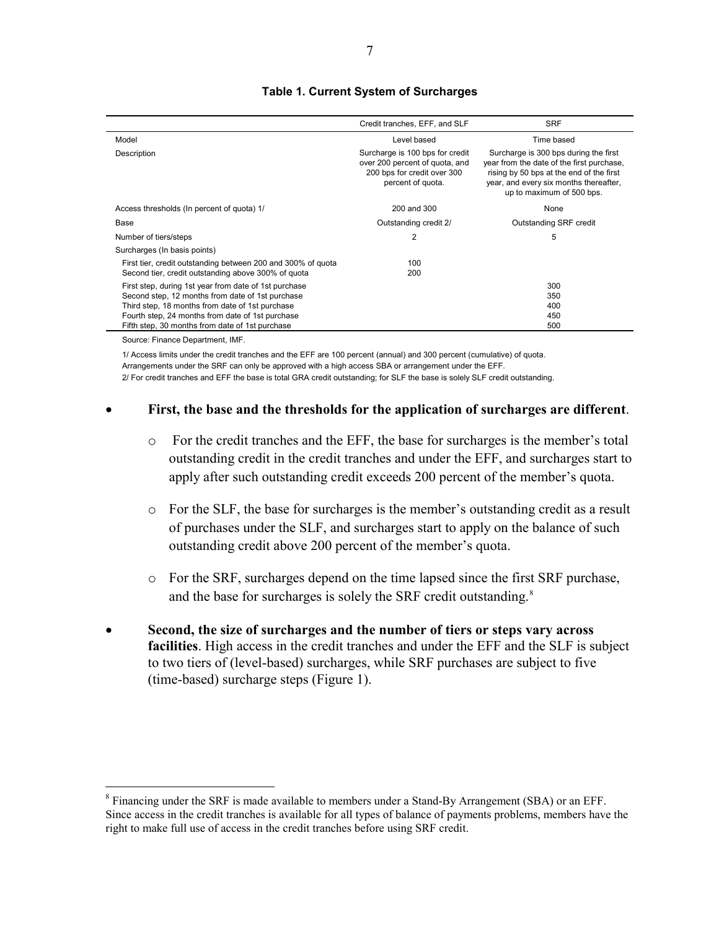<span id="page-6-0"></span>

|                                                              | Credit tranches, EFF, and SLF                                                                                         | <b>SRF</b>                                                                                                                                                                                            |
|--------------------------------------------------------------|-----------------------------------------------------------------------------------------------------------------------|-------------------------------------------------------------------------------------------------------------------------------------------------------------------------------------------------------|
| Model                                                        | Level based                                                                                                           | Time based                                                                                                                                                                                            |
| Description                                                  | Surcharge is 100 bps for credit<br>over 200 percent of quota, and<br>200 bps for credit over 300<br>percent of quota. | Surcharge is 300 bps during the first<br>year from the date of the first purchase.<br>rising by 50 bps at the end of the first<br>year, and every six months thereafter,<br>up to maximum of 500 bps. |
| Access thresholds (In percent of quota) 1/                   | 200 and 300                                                                                                           | None                                                                                                                                                                                                  |
| Base                                                         | Outstanding credit 2/                                                                                                 | Outstanding SRF credit                                                                                                                                                                                |
| Number of tiers/steps                                        | $\overline{2}$                                                                                                        | 5                                                                                                                                                                                                     |
| Surcharges (In basis points)                                 |                                                                                                                       |                                                                                                                                                                                                       |
| First tier, credit outstanding between 200 and 300% of guota | 100                                                                                                                   |                                                                                                                                                                                                       |
| Second tier, credit outstanding above 300% of quota          | 200                                                                                                                   |                                                                                                                                                                                                       |
| First step, during 1st year from date of 1st purchase        |                                                                                                                       | 300                                                                                                                                                                                                   |
| Second step, 12 months from date of 1st purchase             |                                                                                                                       | 350                                                                                                                                                                                                   |
| Third step, 18 months from date of 1st purchase              |                                                                                                                       | 400                                                                                                                                                                                                   |
| Fourth step, 24 months from date of 1st purchase             |                                                                                                                       | 450                                                                                                                                                                                                   |
| Fifth step, 30 months from date of 1st purchase              |                                                                                                                       | 500                                                                                                                                                                                                   |
| Source: Finance Department IMF                               |                                                                                                                       |                                                                                                                                                                                                       |

#### **Table 1. Current System of Surcharges**

1/ Access limits under the credit tranches and the EFF are 100 percent (annual) and 300 percent (cumulative) of quota.

1

Arrangements under the SRF can only be approved with a high access SBA or arrangement under the EFF.

2/ For credit tranches and EFF the base is total GRA credit outstanding; for SLF the base is solely SLF credit outstanding.

### • **First, the base and the thresholds for the application of surcharges are different**.

- o For the credit tranches and the EFF, the base for surcharges is the member's total outstanding credit in the credit tranches and under the EFF, and surcharges start to apply after such outstanding credit exceeds 200 percent of the member's quota.
- o For the SLF, the base for surcharges is the member's outstanding credit as a result of purchases under the SLF, and surcharges start to apply on the balance of such outstanding credit above 200 percent of the member's quota.
- o For the SRF, surcharges depend on the time lapsed since the first SRF purchase, and the base for surcharges is solely the SRF credit outstanding.<sup>[8](#page-6-1)</sup>
- **Second, the size of surcharges and the number of tiers or steps vary across facilities**. High access in the credit tranches and under the EFF and the SLF is subject to two tiers of (level-based) surcharges, while SRF purchases are subject to five (time-based) surcharge steps (Figure 1).

<span id="page-6-1"></span><sup>&</sup>lt;sup>8</sup> Financing under the SRF is made available to members under a Stand-By Arrangement (SBA) or an EFF. Since access in the credit tranches is available for all types of balance of payments problems, members have the right to make full use of access in the credit tranches before using SRF credit.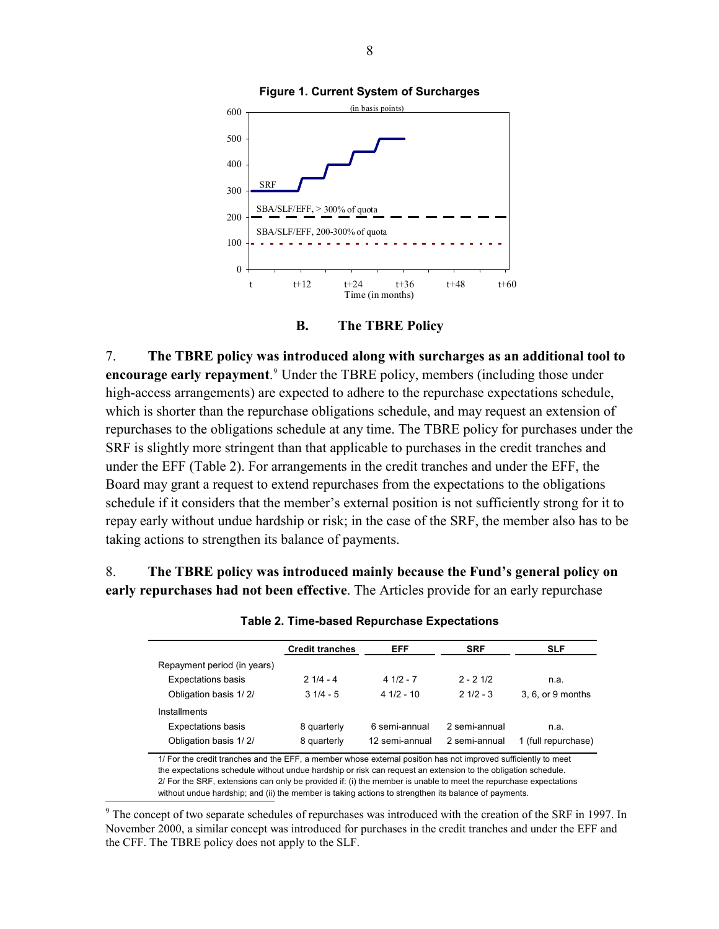<span id="page-7-0"></span>



7. **The TBRE policy was introduced along with surcharges as an additional tool to encourage early repayment**.<sup>[9](#page-7-1)</sup> Under the TBRE policy, members (including those under high-access arrangements) are expected to adhere to the repurchase expectations schedule, which is shorter than the repurchase obligations schedule, and may request an extension of repurchases to the obligations schedule at any time. The TBRE policy for purchases under the SRF is slightly more stringent than that applicable to purchases in the credit tranches and under the EFF (Table 2). For arrangements in the credit tranches and under the EFF, the Board may grant a request to extend repurchases from the expectations to the obligations schedule if it considers that the member's external position is not sufficiently strong for it to repay early without undue hardship or risk; in the case of the SRF, the member also has to be taking actions to strengthen its balance of payments.

8. **The TBRE policy was introduced mainly because the Fund's general policy on early repurchases had not been effective**. The Articles provide for an early repurchase

|                             | <b>Credit tranches</b> | EFF            | <b>SRF</b>    | <b>SLF</b>          |
|-----------------------------|------------------------|----------------|---------------|---------------------|
| Repayment period (in years) |                        |                |               |                     |
| <b>Expectations basis</b>   | $21/4 - 4$             | $41/2 - 7$     | $2 - 21/2$    | n.a.                |
| Obligation basis 1/2/       | $31/4 - 5$             | $41/2 - 10$    | $21/2 - 3$    | 3.6. or 9 months    |
| Installments                |                        |                |               |                     |
| <b>Expectations basis</b>   | 8 quarterly            | 6 semi-annual  | 2 semi-annual | n.a.                |
| Obligation basis 1/2/       | 8 quarterly            | 12 semi-annual | 2 semi-annual | 1 (full repurchase) |

**Table 2. Time-based Repurchase Expectations** 

1/ For the credit tranches and the EFF, a member whose external position has not improved sufficiently to meet the expectations schedule without undue hardship or risk can request an extension to the obligation schedule. 2/ For the SRF, extensions can only be provided if: (i) the member is unable to meet the repurchase expectations without undue hardship; and (ii) the member is taking actions to strengthen its balance of payments.

<span id="page-7-1"></span><sup>9</sup> The concept of two separate schedules of repurchases was introduced with the creation of the SRF in 1997. In November 2000, a similar concept was introduced for purchases in the credit tranches and under the EFF and the CFF. The TBRE policy does not apply to the SLF.

 $\overline{a}$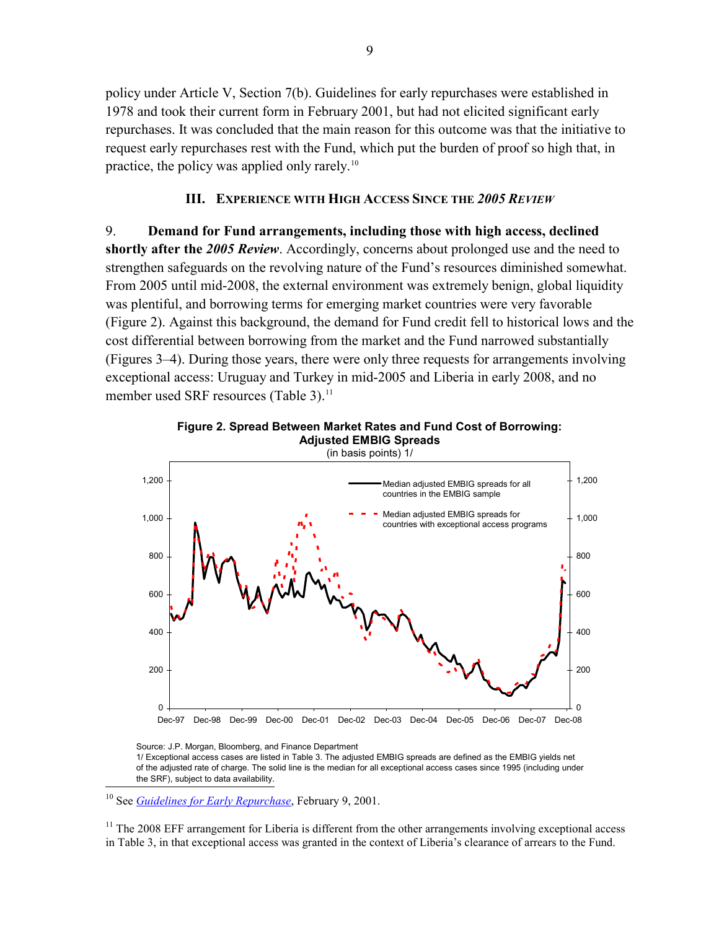<span id="page-8-0"></span>policy under Article V, Section 7(b). Guidelines for early repurchases were established in 1978 and took their current form in February 2001, but had not elicited significant early repurchases. It was concluded that the main reason for this outcome was that the initiative to request early repurchases rest with the Fund, which put the burden of proof so high that, in practice, the policy was applied only rarely.[10](#page-8-0)

### **III. EXPERIENCE WITH HIGH ACCESS SINCE THE** *2005 REVIEW*

9. **Demand for Fund arrangements, including those with high access, declined shortly after the** *2005 Review*. Accordingly, concerns about prolonged use and the need to strengthen safeguards on the revolving nature of the Fund's resources diminished somewhat. From 2005 until mid-2008, the external environment was extremely benign, global liquidity was plentiful, and borrowing terms for emerging market countries were very favorable (Figure 2). Against this background, the demand for Fund credit fell to historical lows and the cost differential between borrowing from the market and the Fund narrowed substantially (Figures 3–4). During those years, there were only three requests for arrangements involving exceptional access: Uruguay and Turkey in mid-2005 and Liberia in early 2008, and no member used SRF resources (Table 3).<sup>[11](#page-8-0)</sup>



**Figure 2. Spread Between Market Rates and Fund Cost of Borrowing:**

Source: J.P. Morgan, Bloomberg, and Finance Department 1/ Exceptional access cases are listed in Table 3. The adjusted EMBIG spreads are defined as the EMBIG yields net of the adjusted rate of charge. The solid line is the median for all exceptional access cases since 1995 (including under the SRF), subject to data availability.

10 See *[Guidelines for Early Repurchase](http://www.imf.org/external/pubs/ft/sd/index.asp?decision=6172-(79/101))*, February 9, 2001.

 $\overline{a}$ 

 $11$  The 2008 EFF arrangement for Liberia is different from the other arrangements involving exceptional access in Table 3, in that exceptional access was granted in the context of Liberia's clearance of arrears to the Fund.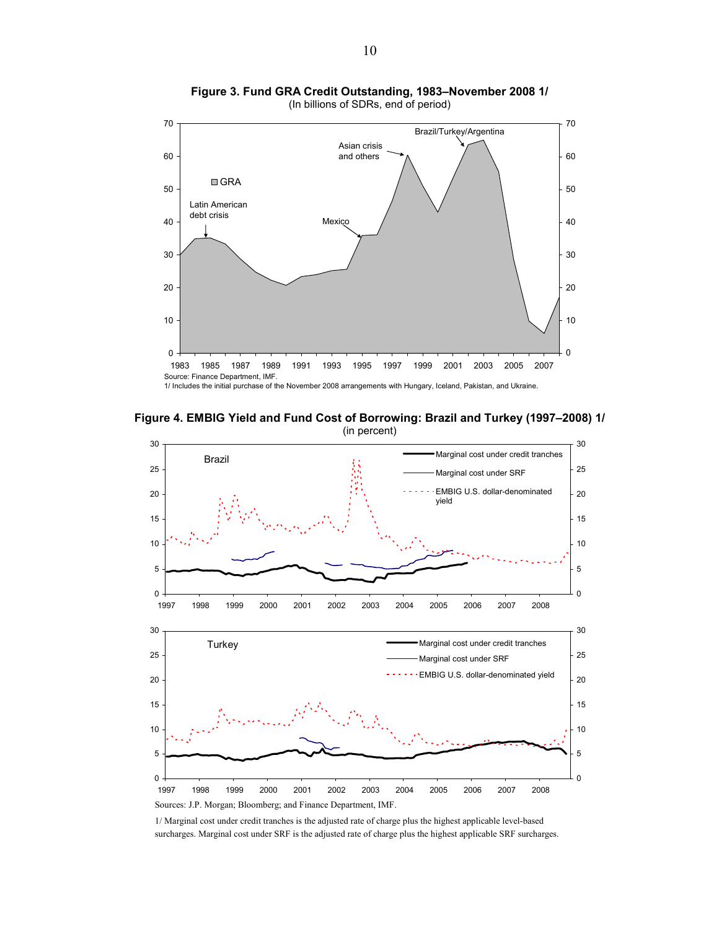<span id="page-9-0"></span>

**Figure 3. Fund GRA Credit Outstanding, 1983–November 2008 1/**  (In billions of SDRs, end of period)

1/ Includes the initial purchase of the November 2008 arrangements with Hungary, Iceland, Pakistan, and Ukraine.

**Figure 4. EMBIG Yield and Fund Cost of Borrowing: Brazil and Turkey (1997–2008) 1/**  (in percent)



1/ Marginal cost under credit tranches is the adjusted rate of charge plus the highest applicable level-based surcharges. Marginal cost under SRF is the adjusted rate of charge plus the highest applicable SRF surcharges.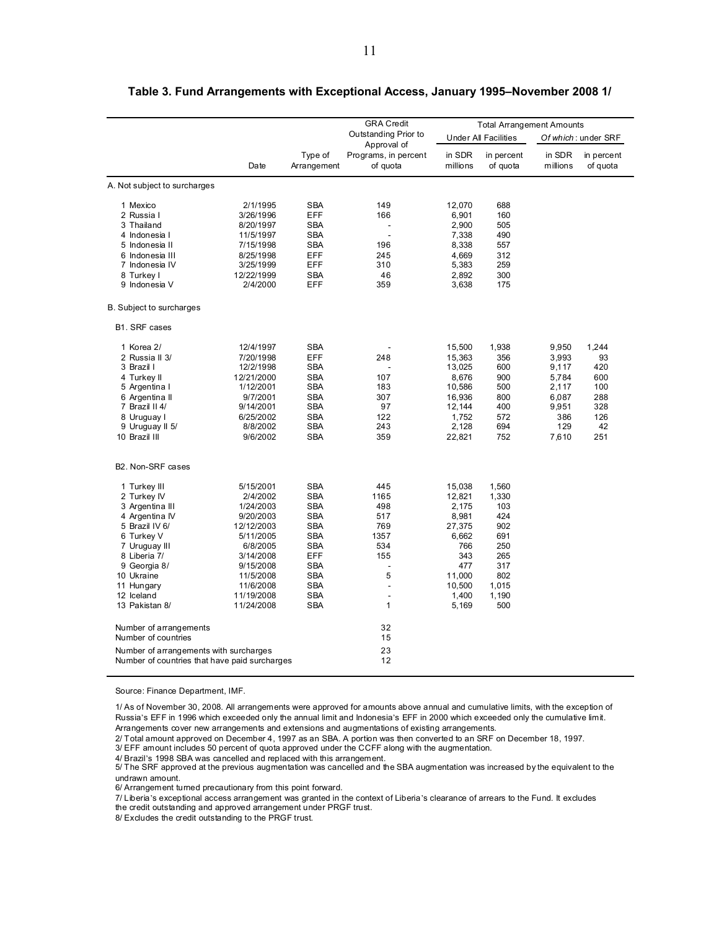|                                                                                         |            |                        | <b>GRA Credit</b>                |                    | <b>Total Arrangement Amounts</b> |                    |                        |  |
|-----------------------------------------------------------------------------------------|------------|------------------------|----------------------------------|--------------------|----------------------------------|--------------------|------------------------|--|
|                                                                                         |            |                        | Outstanding Prior to             |                    | Under All Facilities             |                    | Of which: under SRF    |  |
|                                                                                         |            |                        | Approval of                      |                    |                                  |                    |                        |  |
|                                                                                         | Date       | Type of<br>Arrangement | Programs, in percent<br>of quota | in SDR<br>millions | in percent<br>of quota           | in SDR<br>millions | in percent<br>of quota |  |
|                                                                                         |            |                        |                                  |                    |                                  |                    |                        |  |
| A. Not subject to surcharges                                                            |            |                        |                                  |                    |                                  |                    |                        |  |
| 1 Mexico                                                                                | 2/1/1995   | SBA                    | 149                              | 12,070             | 688                              |                    |                        |  |
| 2 Russia I                                                                              | 3/26/1996  | EFF                    | 166                              | 6,901              | 160                              |                    |                        |  |
| 3 Thailand                                                                              | 8/20/1997  | <b>SBA</b>             |                                  | 2,900              | 505                              |                    |                        |  |
| 4 Indonesia I                                                                           | 11/5/1997  | <b>SBA</b>             | $\overline{a}$                   | 7,338              | 490                              |                    |                        |  |
| 5 Indonesia II                                                                          | 7/15/1998  | <b>SBA</b>             | 196                              | 8,338              | 557                              |                    |                        |  |
| 6 Indonesia III                                                                         | 8/25/1998  | EFF                    | 245                              | 4,669              | 312                              |                    |                        |  |
| 7 Indonesia IV                                                                          | 3/25/1999  | EFF                    | 310                              | 5,383              | 259                              |                    |                        |  |
| 8 Turkey I                                                                              | 12/22/1999 | <b>SBA</b>             | 46                               | 2,892              | 300                              |                    |                        |  |
| 9 Indonesia V                                                                           | 2/4/2000   | EFF                    | 359                              | 3,638              | 175                              |                    |                        |  |
| B. Subject to surcharges                                                                |            |                        |                                  |                    |                                  |                    |                        |  |
| B1. SRF cases                                                                           |            |                        |                                  |                    |                                  |                    |                        |  |
| 1 Korea 2/                                                                              | 12/4/1997  | <b>SBA</b>             |                                  | 15,500             | 1,938                            | 9,950              | 1,244                  |  |
| 2 Russia II 3/                                                                          | 7/20/1998  | EFF                    | 248                              | 15,363             | 356                              | 3,993              | 93                     |  |
| 3 Brazil I                                                                              | 12/2/1998  | <b>SBA</b>             |                                  | 13,025             | 600                              | 9,117              | 420                    |  |
| 4 Turkey II                                                                             | 12/21/2000 | <b>SBA</b>             | 107                              | 8,676              | 900                              | 5,784              | 600                    |  |
| 5 Argentina I                                                                           | 1/12/2001  | <b>SBA</b>             | 183                              | 10,586             | 500                              | 2,117              | 100                    |  |
| 6 Argentina II                                                                          | 9/7/2001   | <b>SBA</b>             | 307                              | 16,936             | 800                              | 6,087              | 288                    |  |
| 7 Brazil II 4/                                                                          | 9/14/2001  | <b>SBA</b>             | 97                               | 12,144             | 400                              | 9,951              | 328                    |  |
|                                                                                         | 6/25/2002  | <b>SBA</b>             | 122                              | 1,752              | 572                              | 386                | 126                    |  |
| 8 Uruguay I                                                                             |            |                        |                                  |                    |                                  |                    | 42                     |  |
| 9 Uruguay II 5/                                                                         | 8/8/2002   | <b>SBA</b>             | 243                              | 2,128              | 694                              | 129                |                        |  |
| 10 Brazil III                                                                           | 9/6/2002   | <b>SBA</b>             | 359                              | 22,821             | 752                              | 7,610              | 251                    |  |
| B2. Non-SRF cases                                                                       |            |                        |                                  |                    |                                  |                    |                        |  |
| 1 Turkey III                                                                            | 5/15/2001  | <b>SBA</b>             | 445                              | 15,038             | 1,560                            |                    |                        |  |
| 2 Turkey IV                                                                             | 2/4/2002   | <b>SBA</b>             | 1165                             | 12,821             | 1,330                            |                    |                        |  |
| 3 Argentina III                                                                         | 1/24/2003  | <b>SBA</b>             | 498                              | 2,175              | 103                              |                    |                        |  |
| 4 Argentina IV                                                                          | 9/20/2003  | <b>SBA</b>             | 517                              | 8,981              | 424                              |                    |                        |  |
| 5 Brazil IV 6/                                                                          | 12/12/2003 | <b>SBA</b>             | 769                              | 27,375             | 902                              |                    |                        |  |
| 6 Turkey V                                                                              | 5/11/2005  | <b>SBA</b>             | 1357                             | 6,662              | 691                              |                    |                        |  |
| 7 Uruguay III                                                                           | 6/8/2005   | <b>SBA</b>             | 534                              | 766                | 250                              |                    |                        |  |
| 8 Liberia 7/                                                                            | 3/14/2008  | EFF                    | 155                              | 343                | 265                              |                    |                        |  |
| 9 Georgia 8/                                                                            | 9/15/2008  | <b>SBA</b>             | L.                               | 477                | 317                              |                    |                        |  |
| 10 Ukraine                                                                              | 11/5/2008  | <b>SBA</b>             | 5                                | 11,000             | 802                              |                    |                        |  |
| 11 Hungary                                                                              | 11/6/2008  | <b>SBA</b>             | L,                               | 10,500             | 1,015                            |                    |                        |  |
| 12 Iceland                                                                              | 11/19/2008 | <b>SBA</b>             | $\overline{a}$                   | 1,400              | 1,190                            |                    |                        |  |
| 13 Pakistan 8/                                                                          | 11/24/2008 | <b>SBA</b>             | $\mathbf{1}$                     | 5,169              | 500                              |                    |                        |  |
|                                                                                         |            |                        |                                  |                    |                                  |                    |                        |  |
| Number of arrangements                                                                  |            |                        | 32                               |                    |                                  |                    |                        |  |
| Number of countries                                                                     |            |                        | 15                               |                    |                                  |                    |                        |  |
| Number of arrangements with surcharges<br>Number of countries that have paid surcharges |            |                        | 23<br>12                         |                    |                                  |                    |                        |  |
|                                                                                         |            |                        |                                  |                    |                                  |                    |                        |  |

#### <span id="page-10-0"></span>**Table 3. Fund Arrangements with Exceptional Access, January 1995–November 2008 1/**

Source: Finance Department, IMF.

1/ As of November 30, 2008. All arrangements were approved for amounts above annual and cumulative limits, with the exception of Russia's EFF in 1996 which exceeded only the annual limit and Indonesia's EFF in 2000 which exceeded only the cumulative limit. Arrangements cover new arrangements and extensions and augmentations of existing arrangements.

2/ Total amount approved on December 4, 1997 as an SBA. A portion was then converted to an SRF on December 18, 1997. 3/ EFF amount includes 50 percent of quota approved under the CCFF along with the augmentation.

4/ Brazil's 1998 SBA was cancelled and replaced with this arrangement.

5/ The SRF approved at the previous augmentation was cancelled and the SBA augmentation was increased by the equivalent to the undrawn amount.

6/ Arrangement turned precautionary from this point forward.

7/ Liberia's exceptional access arrangement was granted in the context of Liberia's clearance of arrears to the Fund. It excludes the credit outstanding and approved arrangement under PRGF trust.

8/ Excludes the credit outstanding to the PRGF trust.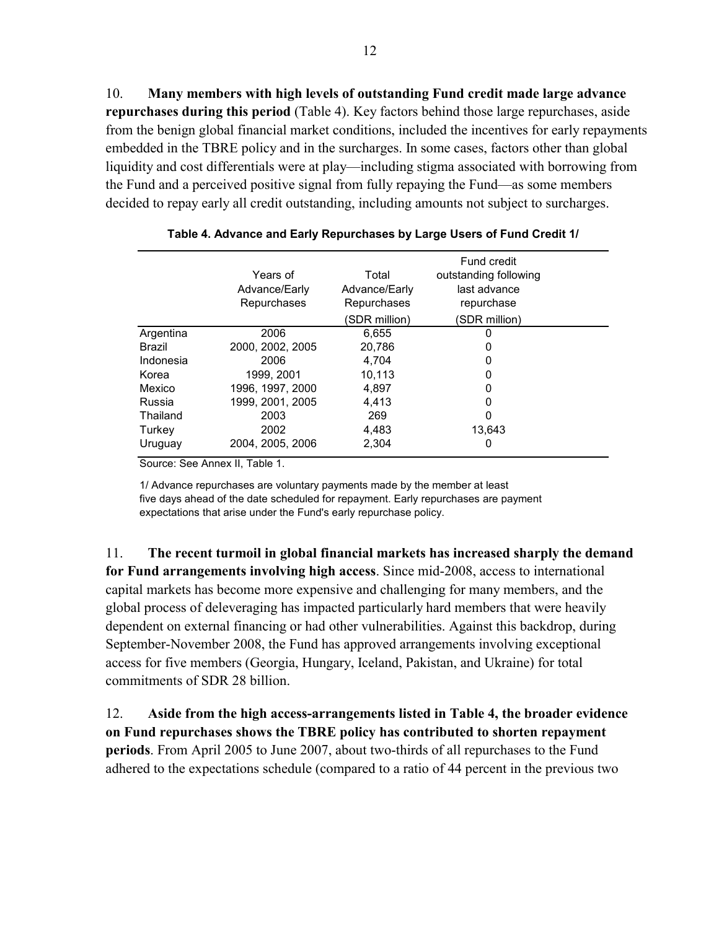<span id="page-11-0"></span>10. **Many members with high levels of outstanding Fund credit made large advance repurchases during this period** (Table 4). Key factors behind those large repurchases, aside from the benign global financial market conditions, included the incentives for early repayments embedded in the TBRE policy and in the surcharges. In some cases, factors other than global liquidity and cost differentials were at play—including stigma associated with borrowing from the Fund and a perceived positive signal from fully repaying the Fund—as some members decided to repay early all credit outstanding, including amounts not subject to surcharges.

|           | Years of<br>Advance/Early<br>Repurchases | Total<br>Advance/Early<br>Repurchases<br>(SDR million) | Fund credit<br>outstanding following<br>last advance<br>repurchase<br>(SDR million) |  |
|-----------|------------------------------------------|--------------------------------------------------------|-------------------------------------------------------------------------------------|--|
| Argentina | 2006                                     | 6.655                                                  |                                                                                     |  |
| Brazil    | 2000, 2002, 2005                         | 20.786                                                 |                                                                                     |  |
| Indonesia | 2006                                     | 4.704                                                  | 0                                                                                   |  |
| Korea     | 1999, 2001                               | 10,113                                                 |                                                                                     |  |
| Mexico    | 1996, 1997, 2000                         | 4,897                                                  | 0                                                                                   |  |
| Russia    | 1999, 2001, 2005                         | 4.413                                                  |                                                                                     |  |
| Thailand  | 2003                                     | 269                                                    | 0                                                                                   |  |
| Turkey    | 2002                                     | 4.483                                                  | 13.643                                                                              |  |
| Uruguay   | 2004, 2005, 2006                         | 2.304                                                  | O                                                                                   |  |

Source: See Annex II, Table 1.

1/ Advance repurchases are voluntary payments made by the member at least five days ahead of the date scheduled for repayment. Early repurchases are payment expectations that arise under the Fund's early repurchase policy.

11. **The recent turmoil in global financial markets has increased sharply the demand for Fund arrangements involving high access**. Since mid-2008, access to international capital markets has become more expensive and challenging for many members, and the global process of deleveraging has impacted particularly hard members that were heavily dependent on external financing or had other vulnerabilities. Against this backdrop, during September-November 2008, the Fund has approved arrangements involving exceptional access for five members (Georgia, Hungary, Iceland, Pakistan, and Ukraine) for total commitments of SDR 28 billion.

12. **Aside from the high access-arrangements listed in Table 4, the broader evidence on Fund repurchases shows the TBRE policy has contributed to shorten repayment periods**. From April 2005 to June 2007, about two-thirds of all repurchases to the Fund adhered to the expectations schedule (compared to a ratio of 44 percent in the previous two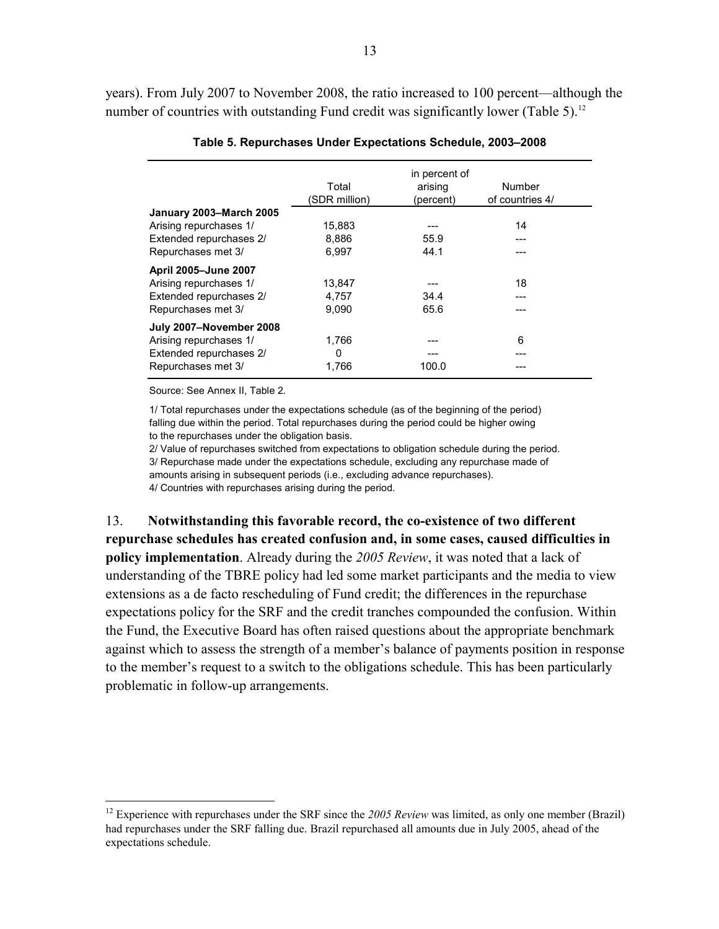<span id="page-12-0"></span>years). From July 2007 to November 2008, the ratio increased to 100 percent—although the number of countries with outstanding Fund credit was significantly lower (Table 5).<sup>12</sup>

|                             |               | in percent of |                 |
|-----------------------------|---------------|---------------|-----------------|
|                             | Total         | arising       | Number          |
|                             | (SDR million) | (percent)     | of countries 4/ |
| January 2003-March 2005     |               |               |                 |
| Arising repurchases 1/      | 15,883        |               | 14              |
| Extended repurchases 2/     | 8.886         | 55.9          |                 |
| Repurchases met 3/          | 6.997         | 44.1          |                 |
| <b>April 2005-June 2007</b> |               |               |                 |
| Arising repurchases 1/      | 13,847        |               | 18              |
| Extended repurchases 2/     | 4,757         | 34.4          |                 |
| Repurchases met 3/          | 9.090         | 65.6          |                 |
| July 2007-November 2008     |               |               |                 |
| Arising repurchases 1/      | 1,766         |               | 6               |
| Extended repurchases 2/     | $\Omega$      |               | ---             |
| Repurchases met 3/          | 1,766         | 100.0         |                 |

#### **Table 5. Repurchases Under Expectations Schedule, 2003–2008**

Source: See Annex II, Table 2.

 $\overline{a}$ 

1/ Total repurchases under the expectations schedule (as of the beginning of the period) falling due within the period. Total repurchases during the period could be higher owing to the repurchases under the obligation basis.

2/ Value of repurchases switched from expectations to obligation schedule during the period. 3/ Repurchase made under the expectations schedule, excluding any repurchase made of amounts arising in subsequent periods (i.e., excluding advance repurchases). 4/ Countries with repurchases arising during the period.

13. **Notwithstanding this favorable record, the co-existence of two different repurchase schedules has created confusion and, in some cases, caused difficulties in policy implementation**. Already during the *2005 Review*, it was noted that a lack of understanding of the TBRE policy had led some market participants and the media to view extensions as a de facto rescheduling of Fund credit; the differences in the repurchase expectations policy for the SRF and the credit tranches compounded the confusion. Within the Fund, the Executive Board has often raised questions about the appropriate benchmark against which to assess the strength of a member's balance of payments position in response to the member's request to a switch to the obligations schedule. This has been particularly problematic in follow-up arrangements.

<sup>&</sup>lt;sup>12</sup> Experience with repurchases under the SRF since the 2005 Review was limited, as only one member (Brazil) had repurchases under the SRF falling due. Brazil repurchased all amounts due in July 2005, ahead of the expectations schedule.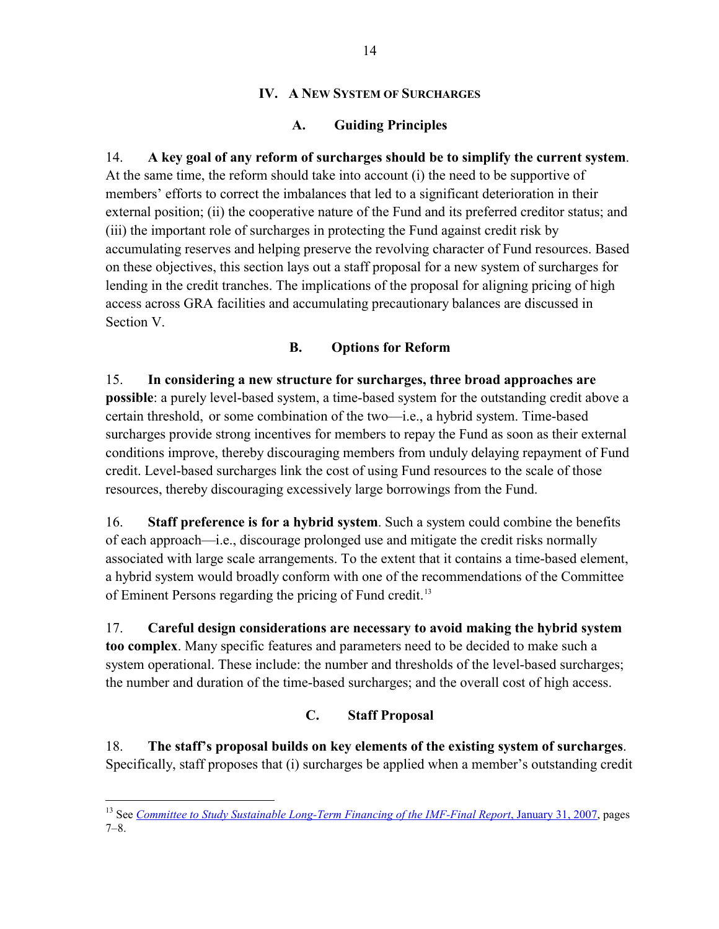### **IV. A NEW SYSTEM OF SURCHARGES**

# **A. Guiding Principles**

<span id="page-13-0"></span>14. **A key goal of any reform of surcharges should be to simplify the current system**. At the same time, the reform should take into account (i) the need to be supportive of members' efforts to correct the imbalances that led to a significant deterioration in their external position; (ii) the cooperative nature of the Fund and its preferred creditor status; and (iii) the important role of surcharges in protecting the Fund against credit risk by accumulating reserves and helping preserve the revolving character of Fund resources. Based on these objectives, this section lays out a staff proposal for a new system of surcharges for lending in the credit tranches. The implications of the proposal for aligning pricing of high access across GRA facilities and accumulating precautionary balances are discussed in Section V.

# **B. Options for Reform**

15. **In considering a new structure for surcharges, three broad approaches are possible**: a purely level-based system, a time-based system for the outstanding credit above a certain threshold, or some combination of the two—i.e., a hybrid system. Time-based surcharges provide strong incentives for members to repay the Fund as soon as their external conditions improve, thereby discouraging members from unduly delaying repayment of Fund credit. Level-based surcharges link the cost of using Fund resources to the scale of those resources, thereby discouraging excessively large borrowings from the Fund.

16. **Staff preference is for a hybrid system**. Such a system could combine the benefits of each approach—i.e., discourage prolonged use and mitigate the credit risks normally associated with large scale arrangements. To the extent that it contains a time-based element, a hybrid system would broadly conform with one of the recommendations of the Committee of Eminent Persons regarding the pricing of Fund credit.<sup>[13](#page-13-0)</sup>

17. **Careful design considerations are necessary to avoid making the hybrid system too complex**. Many specific features and parameters need to be decided to make such a system operational. These include: the number and thresholds of the level-based surcharges; the number and duration of the time-based surcharges; and the overall cost of high access.

# **C. Staff Proposal**

18. **The staff's proposal builds on key elements of the existing system of surcharges**. Specifically, staff proposes that (i) surcharges be applied when a member's outstanding credit

 $\overline{a}$ <sup>13</sup> See *[Committee to Study Sustainable Long-Term Financing of the IMF-Final Report](http://www.imf.org/external/np/oth/2007/013107.pdf)*, January 31, 2007, pages 7–8.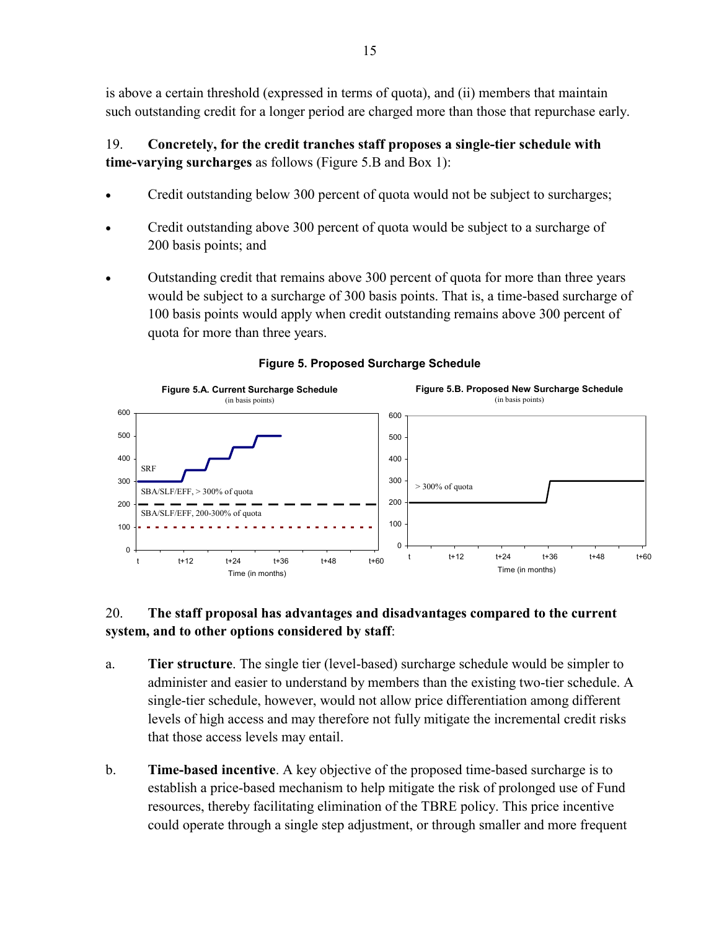<span id="page-14-0"></span>is above a certain threshold (expressed in terms of quota), and (ii) members that maintain such outstanding credit for a longer period are charged more than those that repurchase early.

# 19. **Concretely, for the credit tranches staff proposes a single-tier schedule with time-varying surcharges** as follows (Figure 5.B and Box 1):

- Credit outstanding below 300 percent of quota would not be subject to surcharges;
- Credit outstanding above 300 percent of quota would be subject to a surcharge of 200 basis points; and
- Outstanding credit that remains above 300 percent of quota for more than three years would be subject to a surcharge of 300 basis points. That is, a time-based surcharge of 100 basis points would apply when credit outstanding remains above 300 percent of quota for more than three years.



### **Figure 5. Proposed Surcharge Schedule**

# 20. **The staff proposal has advantages and disadvantages compared to the current system, and to other options considered by staff**:

- a. **Tier structure**. The single tier (level-based) surcharge schedule would be simpler to administer and easier to understand by members than the existing two-tier schedule. A single-tier schedule, however, would not allow price differentiation among different levels of high access and may therefore not fully mitigate the incremental credit risks that those access levels may entail.
- b. **Time-based incentive**. A key objective of the proposed time-based surcharge is to establish a price-based mechanism to help mitigate the risk of prolonged use of Fund resources, thereby facilitating elimination of the TBRE policy. This price incentive could operate through a single step adjustment, or through smaller and more frequent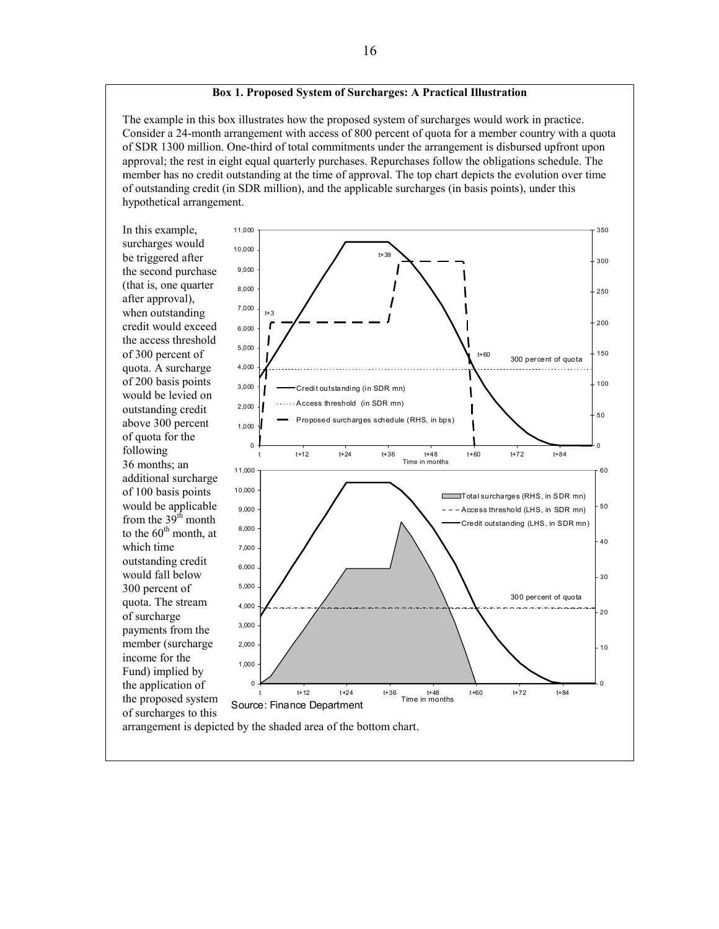#### **Box 1. Proposed System of Surcharges: A Practical Illustration**

<span id="page-15-0"></span>The example in this box illustrates how the proposed system of surcharges would work in practice. Consider a 24-month arrangement with access of 800 percent of quota for a member country with a quota of SDR 1300 million. One-third of total commitments under the arrangement is disbursed upfront upon approval; the rest in eight equal quarterly purchases. Repurchases follow the obligations schedule. The member has no credit outstanding at the time of approval. The top chart depicts the evolution over time of outstanding credit (in SDR million), and the applicable surcharges (in basis points), under this hypothetical arrangement.

In this example, surcharges would be triggered after the second purcha se (that is, one quarter after approval), when outstanding credit would exceed the access threshold of 300 percent of quota. A surcharge of 200 basis points would be levied on outstanding credit above 300 percent of quota for the following 36 months; an additional surcharge of 100 basis points would be applicable from the  $39<sup>th</sup>$  month to the  $60<sup>th</sup>$  month, at which time outstanding credit would fall below 300 percent of quota. The stream of surcharge payments from the member (surcharge income for the Fund) implied by the application of the proposed system of surcharges to this

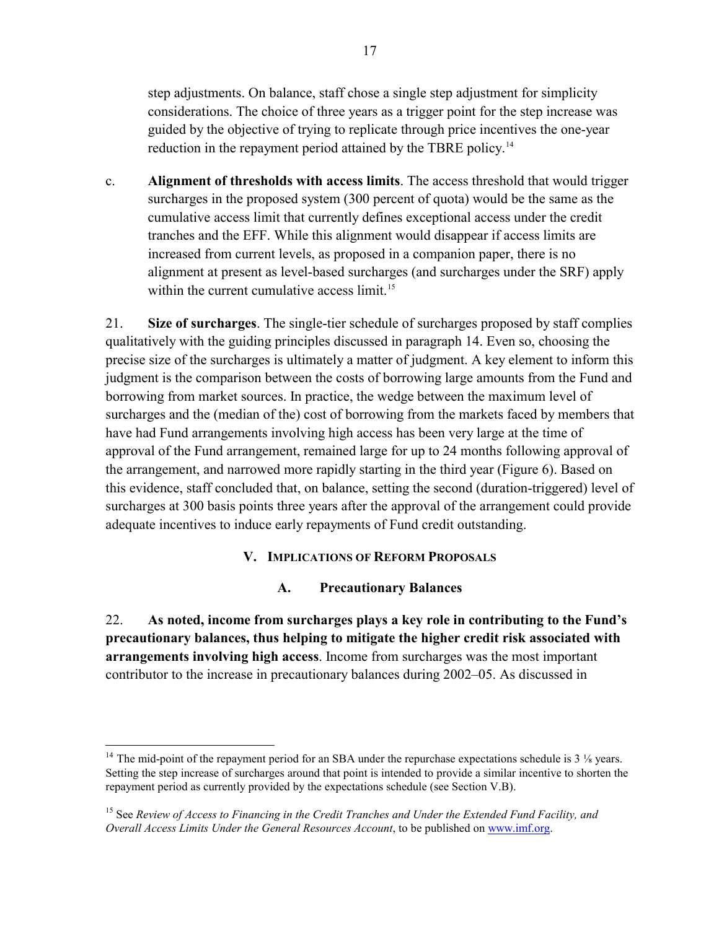<span id="page-16-0"></span>step adjustments. On balance, staff chose a single step adjustment for simplicity considerations. The choice of three years as a trigger point for the step increase was guided by the objective of trying to replicate through price incentives the one-year reduction in the repayment period attained by the TBRE policy.<sup>[14](#page-16-0)</sup>

c. **Alignment of thresholds with access limits**. The access threshold that would trigger surcharges in the proposed system (300 percent of quota) would be the same as the cumulative access limit that currently defines exceptional access under the credit tranches and the EFF. While this alignment would disappear if access limits are increased from current levels, as proposed in a companion paper, there is no alignment at present as level-based surcharges (and surcharges under the SRF) apply within the current cumulative access limit.<sup>[15](#page-16-0)</sup>

21. **Size of surcharges**. The single-tier schedule of surcharges proposed by staff complies qualitatively with the guiding principles discussed in paragraph 14. Even so, choosing the precise size of the surcharges is ultimately a matter of judgment. A key element to inform this judgment is the comparison between the costs of borrowing large amounts from the Fund and borrowing from market sources. In practice, the wedge between the maximum level of surcharges and the (median of the) cost of borrowing from the markets faced by members that have had Fund arrangements involving high access has been very large at the time of approval of the Fund arrangement, remained large for up to 24 months following approval of the arrangement, and narrowed more rapidly starting in the third year (Figure 6). Based on this evidence, staff concluded that, on balance, setting the second (duration-triggered) level of surcharges at 300 basis points three years after the approval of the arrangement could provide adequate incentives to induce early repayments of Fund credit outstanding.

# **V. IMPLICATIONS OF REFORM PROPOSALS**

### **A. Precautionary Balances**

22. **As noted, income from surcharges plays a key role in contributing to the Fund's precautionary balances, thus helping to mitigate the higher credit risk associated with arrangements involving high access**. Income from surcharges was the most important contributor to the increase in precautionary balances during 2002–05. As discussed in

<u>.</u>

<sup>&</sup>lt;sup>14</sup> The mid-point of the repayment period for an SBA under the repurchase expectations schedule is  $3\frac{1}{8}$  years. Setting the step increase of surcharges around that point is intended to provide a similar incentive to shorten the repayment period as currently provided by the expectations schedule (see Section V.B).

<sup>15</sup> See *Review of Access to Financing in the Credit Tranches and Under the Extended Fund Facility, and Overall Access Limits Under the General Resources Account*, to be published on [www.imf.org](http://www.imf.org/).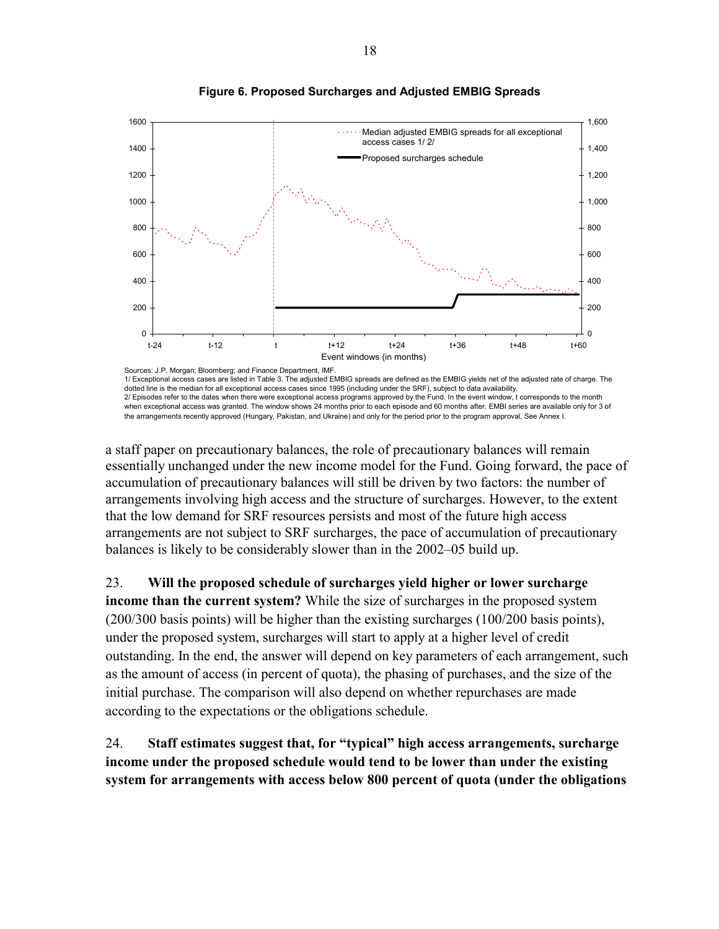<span id="page-17-0"></span>



Sources: J.P. Morgan; Bloomberg; and Finance Department, IMF. 1/ Exceptional access cases are listed in Table 3. The adjusted EMBIG spreads are defined as the EMBIG yields net of the adjusted rate of charge. The dotted line is the median for all exceptional access cases since 1995 (including under the SRF), subject to data availability. 2/ Episodes refer to the dates when there were exceptional access programs approved by the Fund. In the event window, t corresponds to the month when exceptional access was granted. The window shows 24 months prior to each episode and 60 months after. EMBI series are available only for 3 of the arrangements recently approved (Hungary, Pakistan, and Ukraine) and only for the period prior to the program approval. See Annex I.

a staff paper on precautionary balances, the role of precautionary balances will remain essentially unchanged under the new income model for the Fund. Going forward, the pace of accumulation of precautionary balances will still be driven by two factors: the number of arrangements involving high access and the structure of surcharges. However, to the extent that the low demand for SRF resources persists and most of the future high access arrangements are not subject to SRF surcharges, the pace of accumulation of precautionary balances is likely to be considerably slower than in the 2002–05 build up.

23. **Will the proposed schedule of surcharges yield higher or lower surcharge** 

**income than the current system?** While the size of surcharges in the proposed system (200/300 basis points) will be higher than the existing surcharges (100/200 basis points), under the proposed system, surcharges will start to apply at a higher level of credit outstanding. In the end, the answer will depend on key parameters of each arrangement, such as the amount of access (in percent of quota), the phasing of purchases, and the size of the initial purchase. The comparison will also depend on whether repurchases are made according to the expectations or the obligations schedule.

24. **Staff estimates suggest that, for "typical" high access arrangements, surcharge income under the proposed schedule would tend to be lower than under the existing system for arrangements with access below 800 percent of quota (under the obligations**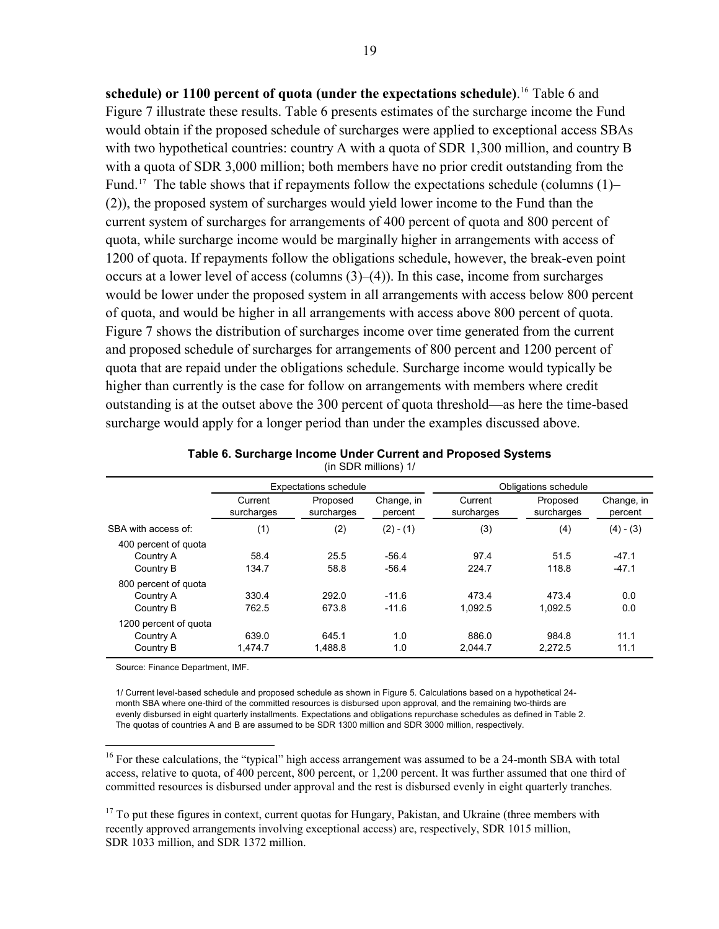<span id="page-18-0"></span>**schedule) or 1100 percent of quota (under the expectations schedule)**. 16 Table 6 and Figure 7 illustrate these results. Table 6 presents estimates of the surcharge income the Fund would obtain if the proposed schedule of surcharges were applied to exceptional access SBAs with two hypothetical countries: country A with a quota of SDR 1,300 million, and country B with a quota of SDR 3,000 million; both members have no prior credit outstanding from the Fund.<sup>17</sup> The table shows that if repayments follow the expectations schedule (columns  $(1)$ – (2)), the proposed system of surcharges would yield lower income to the Fund than the current system of surcharges for arrangements of 400 percent of quota and 800 percent of quota, while surcharge income would be marginally higher in arrangements with access of 1200 of quota. If repayments follow the obligations schedule, however, the break-even point occurs at a lower level of access (columns (3)–(4)). In this case, income from surcharges would be lower under the proposed system in all arrangements with access below 800 percent of quota, and would be higher in all arrangements with access above 800 percent of quota. Figure 7 shows the distribution of surcharges income over time generated from the current and proposed schedule of surcharges for arrangements of 800 percent and 1200 percent of quota that are repaid under the obligations schedule. Surcharge income would typically be higher than currently is the case for follow on arrangements with members where credit outstanding is at the outset above the 300 percent of quota threshold—as here the time-based surcharge would apply for a longer period than under the examples discussed above.

|                                                 | <b>Expectations schedule</b> |                        |                       | Obligations schedule  |                        |                       |
|-------------------------------------------------|------------------------------|------------------------|-----------------------|-----------------------|------------------------|-----------------------|
|                                                 | Current<br>surcharges        | Proposed<br>surcharges | Change, in<br>percent | Current<br>surcharges | Proposed<br>surcharges | Change, in<br>percent |
| SBA with access of:                             | (1)                          | (2)                    | $(2) - (1)$           | (3)                   | (4)                    | $(4) - (3)$           |
| 400 percent of quota<br>Country A<br>Country B  | 58.4<br>134.7                | 25.5<br>58.8           | $-56.4$<br>$-56.4$    | 97.4<br>224.7         | 51.5<br>118.8          | $-47.1$<br>$-47.1$    |
| 800 percent of quota<br>Country A<br>Country B  | 330.4<br>762.5               | 292.0<br>673.8         | $-11.6$<br>$-11.6$    | 473.4<br>1.092.5      | 473.4<br>1.092.5       | 0.0<br>0.0            |
| 1200 percent of quota<br>Country A<br>Country B | 639.0<br>1.474.7             | 645.1<br>1.488.8       | 1.0<br>1.0            | 886.0<br>2.044.7      | 984.8<br>2.272.5       | 11.1<br>11.1          |

| Table 6. Surcharge Income Under Current and Proposed Systems |
|--------------------------------------------------------------|
| (in SDR millions) 1/                                         |

Source: Finance Department, IMF.

1

1/ Current level-based schedule and proposed schedule as shown in Figure 5. Calculations based on a hypothetical 24 month SBA where one-third of the committed resources is disbursed upon approval, and the remaining two-thirds are evenly disbursed in eight quarterly installments. Expectations and obligations repurchase schedules as defined in Table 2. The quotas of countries A and B are assumed to be SDR 1300 million and SDR 3000 million, respectively.

<sup>16</sup> For these calculations, the "typical" high access arrangement was assumed to be a 24-month SBA with total access, relative to quota, of 400 percent, 800 percent, or 1,200 percent. It was further assumed that one third of committed resources is disbursed under approval and the rest is disbursed evenly in eight quarterly tranches.

<sup>17</sup> To put these figures in context, current quotas for Hungary, Pakistan, and Ukraine (three members with recently approved arrangements involving exceptional access) are, respectively, SDR 1015 million, SDR 1033 million, and SDR 1372 million.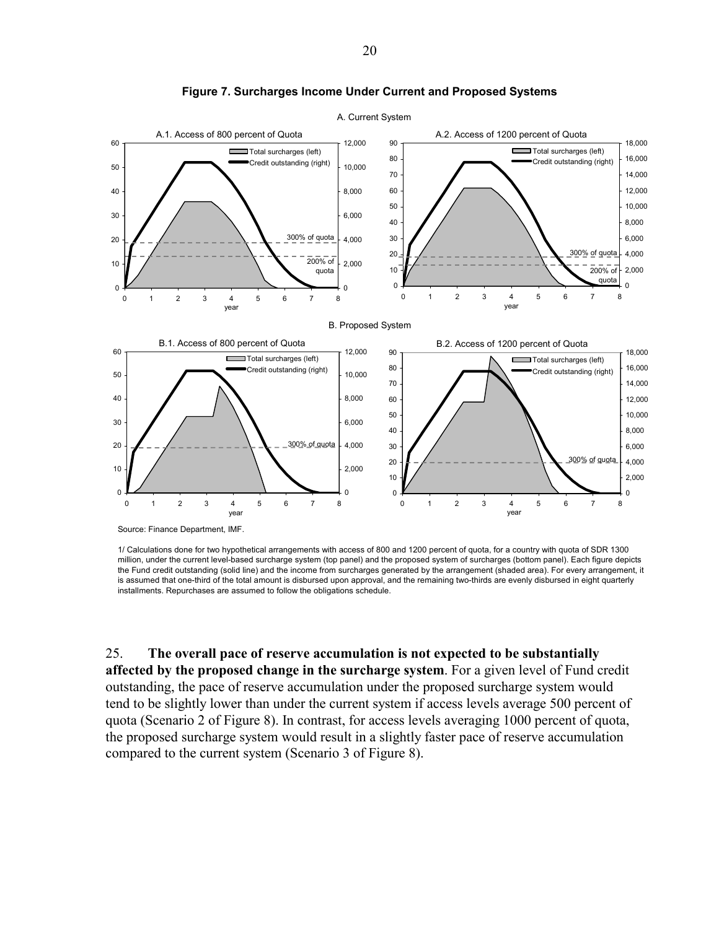<span id="page-19-0"></span>

**Figure 7. Surcharges Income Under Current and Proposed Systems** 

Source: Finance Department, IMF.

1/ Calculations done for two hypothetical arrangements with access of 800 and 1200 percent of quota, for a country with quota of SDR 1300 million, under the current level-based surcharge system (top panel) and the proposed system of surcharges (bottom panel). Each figure depicts the Fund credit outstanding (solid line) and the income from surcharges generated by the arrangement (shaded area). For every arrangement, it is assumed that one-third of the total amount is disbursed upon approval, and the remaining two-thirds are evenly disbursed in eight quarterly installments. Repurchases are assumed to follow the obligations schedule.

25. **The overall pace of reserve accumulation is not expected to be substantially affected by the proposed change in the surcharge system**. For a given level of Fund credit outstanding, the pace of reserve accumulation under the proposed surcharge system would tend to be slightly lower than under the current system if access levels average 500 percent of quota (Scenario 2 of Figure 8). In contrast, for access levels averaging 1000 percent of quota, the proposed surcharge system would result in a slightly faster pace of reserve accumulation compared to the current system (Scenario 3 of Figure 8).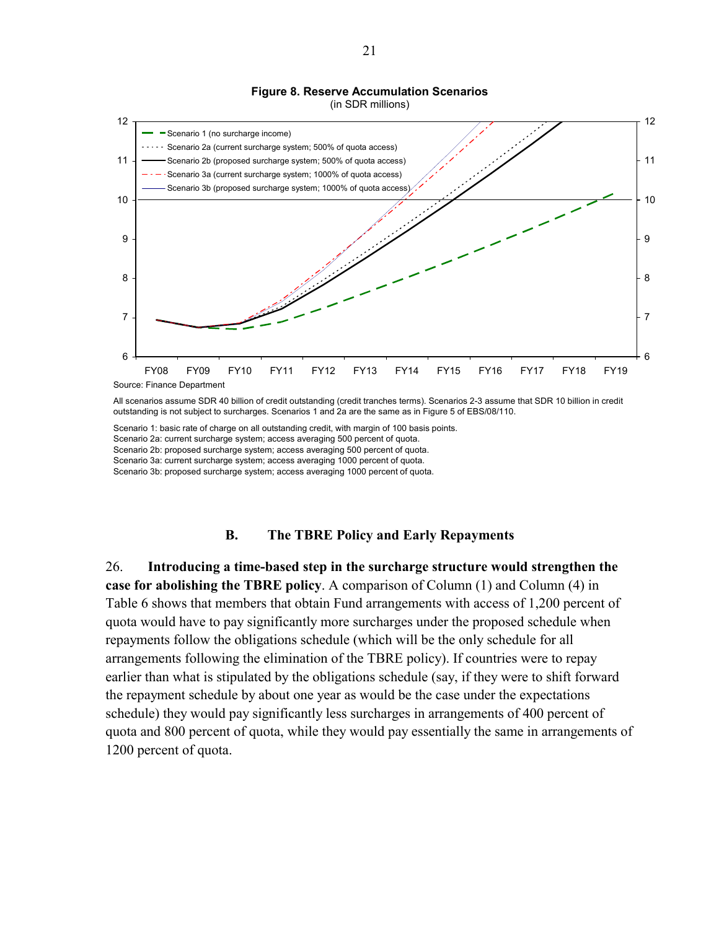### **Figure 8. Reserve Accumulation Scenarios**



<span id="page-20-0"></span>

All scenarios assume SDR 40 billion of credit outstanding (credit tranches terms). Scenarios 2-3 assume that SDR 10 billion in credit outstanding is not subject to surcharges. Scenarios 1 and 2a are the same as in Figure 5 of EBS/08/110.

Scenario 1: basic rate of charge on all outstanding credit, with margin of 100 basis points. Scenario 2a: current surcharge system; access averaging 500 percent of quota. Scenario 2b: proposed surcharge system; access averaging 500 percent of quota. Scenario 3a: current surcharge system; access averaging 1000 percent of quota. Scenario 3b: proposed surcharge system; access averaging 1000 percent of quota.

#### **B. The TBRE Policy and Early Repayments**

26. **Introducing a time-based step in the surcharge structure would strengthen the case for abolishing the TBRE policy**. A comparison of Column (1) and Column (4) in Table 6 shows that members that obtain Fund arrangements with access of 1,200 percent of quota would have to pay significantly more surcharges under the proposed schedule when repayments follow the obligations schedule (which will be the only schedule for all arrangements following the elimination of the TBRE policy). If countries were to repay earlier than what is stipulated by the obligations schedule (say, if they were to shift forward the repayment schedule by about one year as would be the case under the expectations schedule) they would pay significantly less surcharges in arrangements of 400 percent of quota and 800 percent of quota, while they would pay essentially the same in arrangements of 1200 percent of quota.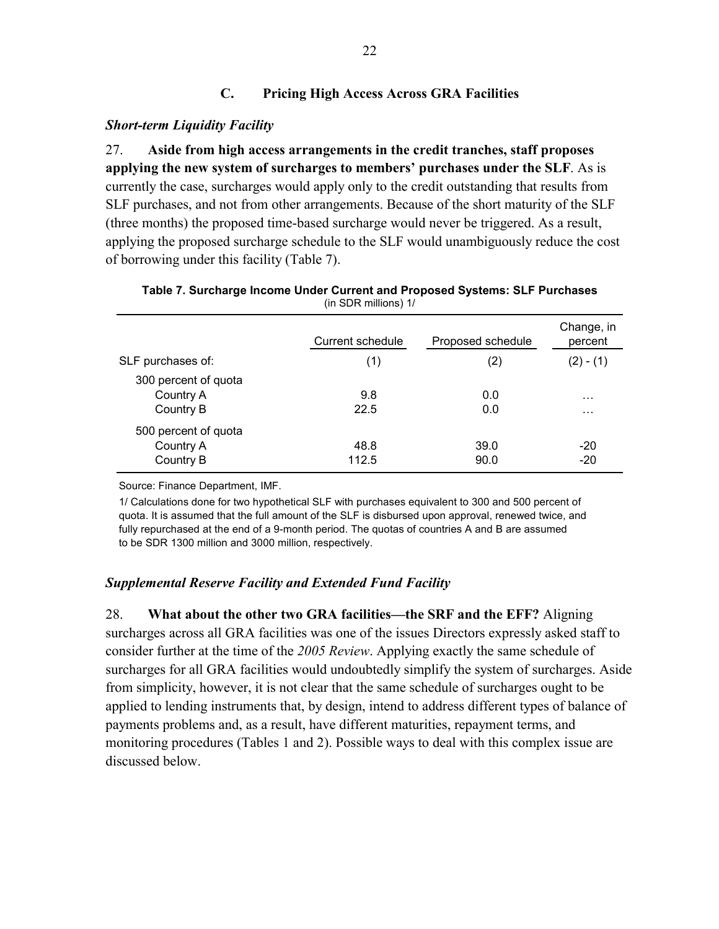### **C. Pricing High Access Across GRA Facilities**

### <span id="page-21-0"></span>*Short-term Liquidity Facility*

27. **Aside from high access arrangements in the credit tranches, staff proposes applying the new system of surcharges to members' purchases under the SLF**. As is currently the case, surcharges would apply only to the credit outstanding that results from SLF purchases, and not from other arrangements. Because of the short maturity of the SLF (three months) the proposed time-based surcharge would never be triggered. As a result, applying the proposed surcharge schedule to the SLF would unambiguously reduce the cost of borrowing under this facility (Table 7).

|                                                | Current schedule | Proposed schedule | Change, in<br>percent |
|------------------------------------------------|------------------|-------------------|-----------------------|
| SLF purchases of:                              | (1)              | (2)               | $(2) - (1)$           |
| 300 percent of quota<br>Country A<br>Country B | 9.8<br>22.5      | 0.0<br>0.0        | .<br>$\cdots$         |
| 500 percent of quota<br>Country A<br>Country B | 48.8<br>112.5    | 39.0<br>90.0      | $-20$<br>$-20$        |

| Table 7. Surcharge Income Under Current and Proposed Systems: SLF Purchases |
|-----------------------------------------------------------------------------|
| (in SDR millions) $1/$                                                      |

Source: Finance Department, IMF.

1/ Calculations done for two hypothetical SLF with purchases equivalent to 300 and 500 percent of quota. It is assumed that the full amount of the SLF is disbursed upon approval, renewed twice, and fully repurchased at the end of a 9-month period. The quotas of countries A and B are assumed to be SDR 1300 million and 3000 million, respectively.

### *Supplemental Reserve Facility and Extended Fund Facility*

28. **What about the other two GRA facilities—the SRF and the EFF?** Aligning surcharges across all GRA facilities was one of the issues Directors expressly asked staff to consider further at the time of the *2005 Review*. Applying exactly the same schedule of surcharges for all GRA facilities would undoubtedly simplify the system of surcharges. Aside from simplicity, however, it is not clear that the same schedule of surcharges ought to be applied to lending instruments that, by design, intend to address different types of balance of payments problems and, as a result, have different maturities, repayment terms, and monitoring procedures (Tables 1 and 2). Possible ways to deal with this complex issue are discussed below.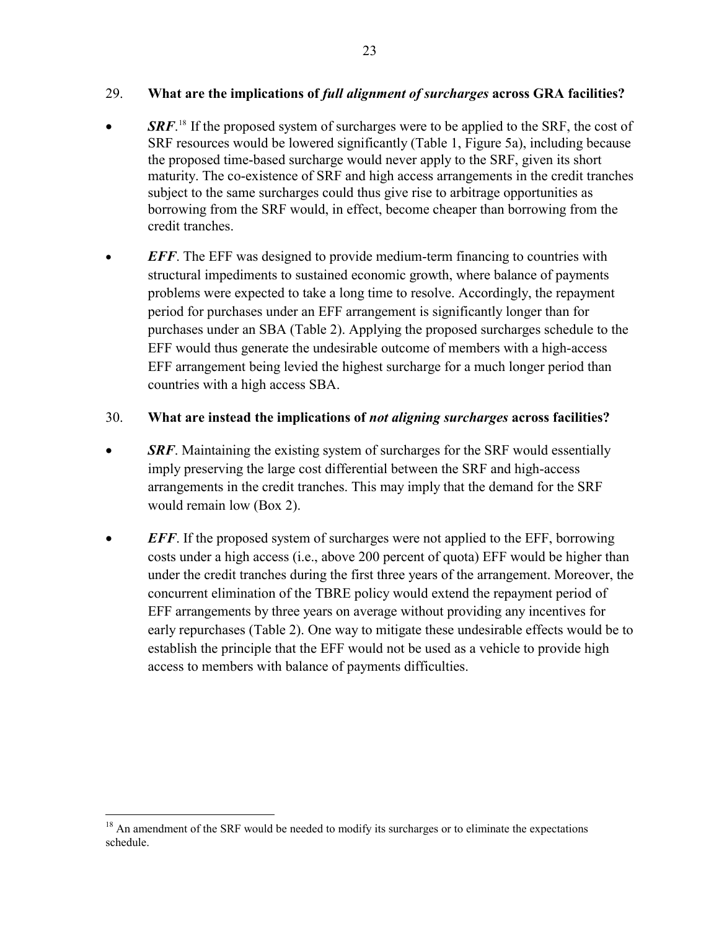### 29. **What are the implications of** *full alignment of surcharges* **across GRA facilities?**

- *SRF*.<sup>[18](#page-23-0)</sup> If the proposed system of surcharges were to be applied to the SRF, the cost of SRF resources would be lowered significantly (Table 1, Figure 5a), including because the proposed time-based surcharge would never apply to the SRF, given its short maturity. The co-existence of SRF and high access arrangements in the credit tranches subject to the same surcharges could thus give rise to arbitrage opportunities as borrowing from the SRF would, in effect, become cheaper than borrowing from the credit tranches.
- *EFF*. The EFF was designed to provide medium-term financing to countries with structural impediments to sustained economic growth, where balance of payments problems were expected to take a long time to resolve. Accordingly, the repayment period for purchases under an EFF arrangement is significantly longer than for purchases under an SBA (Table 2). Applying the proposed surcharges schedule to the EFF would thus generate the undesirable outcome of members with a high-access EFF arrangement being levied the highest surcharge for a much longer period than countries with a high access SBA.

### 30. **What are instead the implications of** *not aligning surcharges* **across facilities?**

- **SRF**. Maintaining the existing system of surcharges for the SRF would essentially imply preserving the large cost differential between the SRF and high-access arrangements in the credit tranches. This may imply that the demand for the SRF would remain low (Box 2).
- *EFF*. If the proposed system of surcharges were not applied to the EFF, borrowing costs under a high access (i.e., above 200 percent of quota) EFF would be higher than under the credit tranches during the first three years of the arrangement. Moreover, the concurrent elimination of the TBRE policy would extend the repayment period of EFF arrangements by three years on average without providing any incentives for early repurchases (Table 2). One way to mitigate these undesirable effects would be to establish the principle that the EFF would not be used as a vehicle to provide high access to members with balance of payments difficulties.

 $\overline{a}$ <sup>18</sup> An amendment of the SRF would be needed to modify its surcharges or to eliminate the expectations schedule.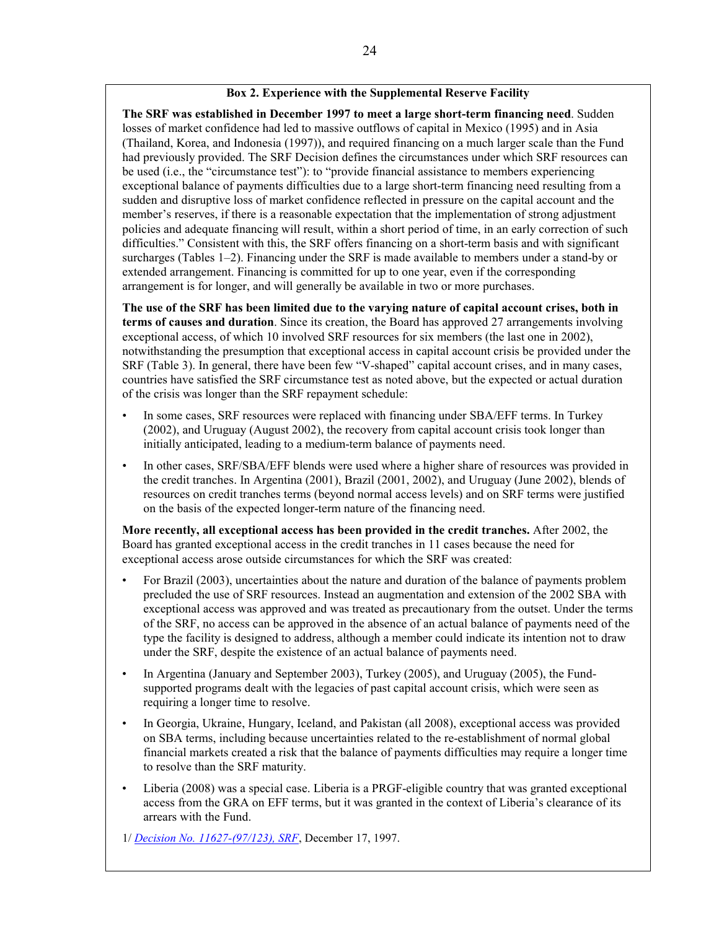#### **Box 2. Experience with the Supplemental Reserve Facility**

<span id="page-23-0"></span>**The SRF was established in December 1997 to meet a large short-term financing need**. Sudden losses of market confidence had led to massive outflows of capital in Mexico (1995) and in Asia (Thailand, Korea, and Indonesia (1997)), and required financing on a much larger scale than the Fund had previously provided. The SRF Decision defines the circumstances under which SRF resources can be used (i.e., the "circumstance test"): to "provide financial assistance to members experiencing exceptional balance of payments difficulties due to a large short-term financing need resulting from a sudden and disruptive loss of market confidence reflected in pressure on the capital account and the member's reserves, if there is a reasonable expectation that the implementation of strong adjustment policies and adequate financing will result, within a short period of time, in an early correction of such difficulties." Consistent with this, the SRF offers financing on a short-term basis and with significant surcharges (Tables 1–2). Financing under the SRF is made available to members under a stand-by or extended arrangement. Financing is committed for up to one year, even if the corresponding arrangement is for longer, and will generally be available in two or more purchases.

**The use of the SRF has been limited due to the varying nature of capital account crises, both in terms of causes and duration**. Since its creation, the Board has approved 27 arrangements involving exceptional access, of which 10 involved SRF resources for six members (the last one in 2002), notwithstanding the presumption that exceptional access in capital account crisis be provided under the SRF (Table 3). In general, there have been few "V-shaped" capital account crises, and in many cases, countries have satisfied the SRF circumstance test as noted above, but the expected or actual duration of the crisis was longer than the SRF repayment schedule:

- In some cases, SRF resources were replaced with financing under SBA/EFF terms. In Turkey (2002), and Uruguay (August 2002), the recovery from capital account crisis took longer than initially anticipated, leading to a medium-term balance of payments need.
- In other cases, SRF/SBA/EFF blends were used where a higher share of resources was provided in the credit tranches. In Argentina (2001), Brazil (2001, 2002), and Uruguay (June 2002), blends of resources on credit tranches terms (beyond normal access levels) and on SRF terms were justified on the basis of the expected longer-term nature of the financing need.

**More recently, all exceptional access has been provided in the credit tranches.** After 2002, the Board has granted exceptional access in the credit tranches in 11 cases because the need for exceptional access arose outside circumstances for which the SRF was created:

- For Brazil (2003), uncertainties about the nature and duration of the balance of payments problem precluded the use of SRF resources. Instead an augmentation and extension of the 2002 SBA with exceptional access was approved and was treated as precautionary from the outset. Under the terms of the SRF, no access can be approved in the absence of an actual balance of payments need of the type the facility is designed to address, although a member could indicate its intention not to draw under the SRF, despite the existence of an actual balance of payments need.
- In Argentina (January and September 2003), Turkey (2005), and Uruguay (2005), the Fundsupported programs dealt with the legacies of past capital account crisis, which were seen as requiring a longer time to resolve.
- In Georgia, Ukraine, Hungary, Iceland, and Pakistan (all 2008), exceptional access was provided on SBA terms, including because uncertainties related to the re-establishment of normal global financial markets created a risk that the balance of payments difficulties may require a longer time to resolve than the SRF maturity.
- Liberia (2008) was a special case. Liberia is a PRGF-eligible country that was granted exceptional access from the GRA on EFF terms, but it was granted in the context of Liberia's clearance of its arrears with the Fund.

1/ *[Decision No. 11627-\(97/123\), SRF](http://www.imf.org/external/pubs/ft/sd/index.asp?decision=11627-(97/123))*, December 17, 1997.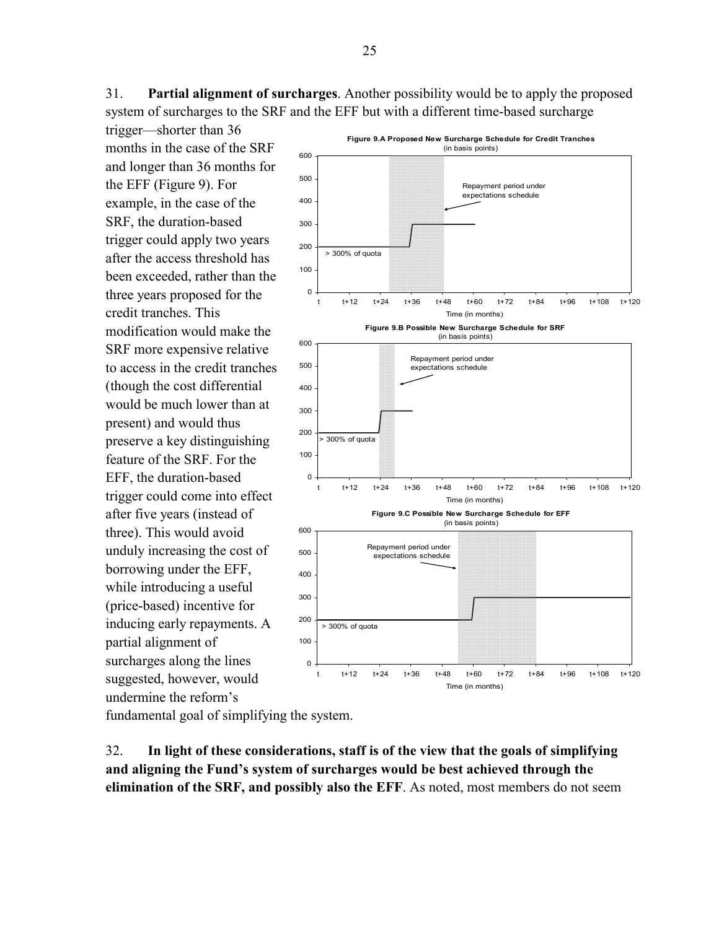31. **Partial alignment of surcharges**. Another possibility would be to apply the proposed system of surcharges to the SRF and the EFF but with a different time-based surcharge

trigger—shorter than 36 months in the case of the SRF and longer than 36 months for the EFF (Figure 9). For example, in the case of the SRF, the duration-based trigger could apply two years after the access threshold has been exceeded, rather than the three years proposed for the credit tranches. This modification would make the SRF more expensive relative to access in the credit tranches (though the cost differential would be much lower than at present) and would thus preserve a key distinguishing feature of the SRF. For the EFF, the duration-based trigger could come into effect after five years (instead of three). This would avoid unduly increasing the cost of borrowing under the EFF, while introducing a useful (price-based) incentive for inducing early repayments. A partial alignment of surcharges along the lines suggested, however, would undermine the reform's



fundamental goal of simplifying the system.

32. **In light of these considerations, staff is of the view that the goals of simplifying and aligning the Fund's system of surcharges would be best achieved through the elimination of the SRF, and possibly also the EFF**. As noted, most members do not seem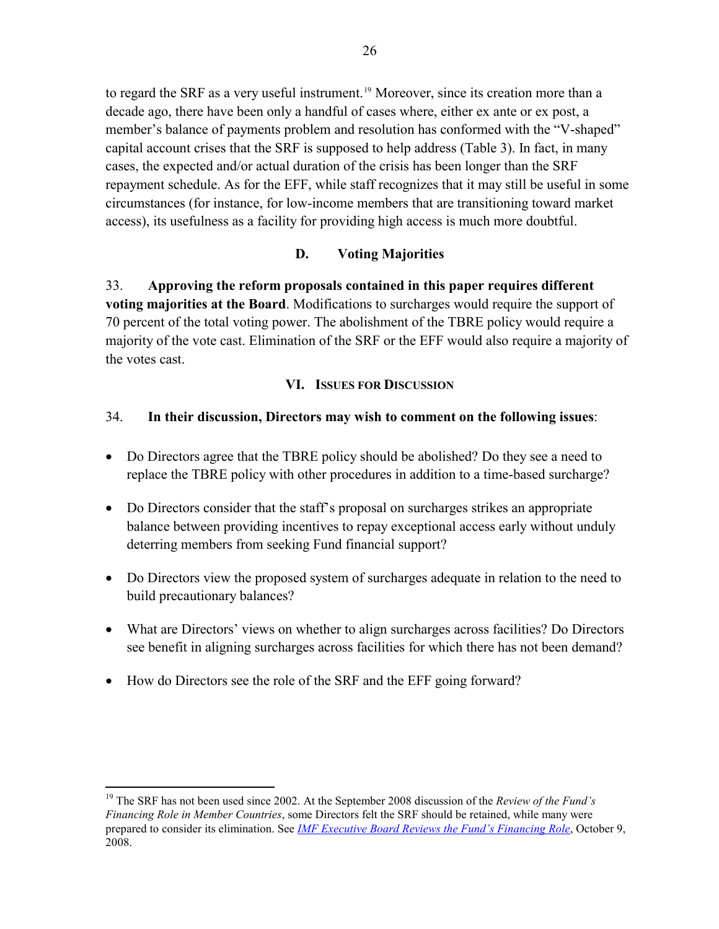<span id="page-25-0"></span>to regard the SRF as a very useful instrument.<sup>19</sup> Moreover, since its creation more than a decade ago, there have been only a handful of cases where, either ex ante or ex post, a member's balance of payments problem and resolution has conformed with the "V-shaped" capital account crises that the SRF is supposed to help address (Table 3). In fact, in many cases, the expected and/or actual duration of the crisis has been longer than the SRF repayment schedule. As for the EFF, while staff recognizes that it may still be useful in some circumstances (for instance, for low-income members that are transitioning toward market access), its usefulness as a facility for providing high access is much more doubtful.

### **D. Voting Majorities**

33. **Approving the reform proposals contained in this paper requires different voting majorities at the Board**. Modifications to surcharges would require the support of 70 percent of the total voting power. The abolishment of the TBRE policy would require a majority of the vote cast. Elimination of the SRF or the EFF would also require a majority of the votes cast.

### **VI. ISSUES FOR DISCUSSION**

### 34. **In their discussion, Directors may wish to comment on the following issues**:

- Do Directors agree that the TBRE policy should be abolished? Do they see a need to replace the TBRE policy with other procedures in addition to a time-based surcharge?
- Do Directors consider that the staff's proposal on surcharges strikes an appropriate balance between providing incentives to repay exceptional access early without unduly deterring members from seeking Fund financial support?
- Do Directors view the proposed system of surcharges adequate in relation to the need to build precautionary balances?
- What are Directors' views on whether to align surcharges across facilities? Do Directors see benefit in aligning surcharges across facilities for which there has not been demand?
- How do Directors see the role of the SRF and the EFF going forward?

 $\overline{a}$ 

<sup>19</sup> The SRF has not been used since 2002. At the September 2008 discussion of the *Review of the Fund's Financing Role in Member Countries*, some Directors felt the SRF should be retained, while many were prepared to consider its elimination. See *[IMF Executive Board Reviews the Fund's Financing Role](http://www.imf.org/external/np/sec/pn/2008/pn08131.htm)*, October 9, 2008.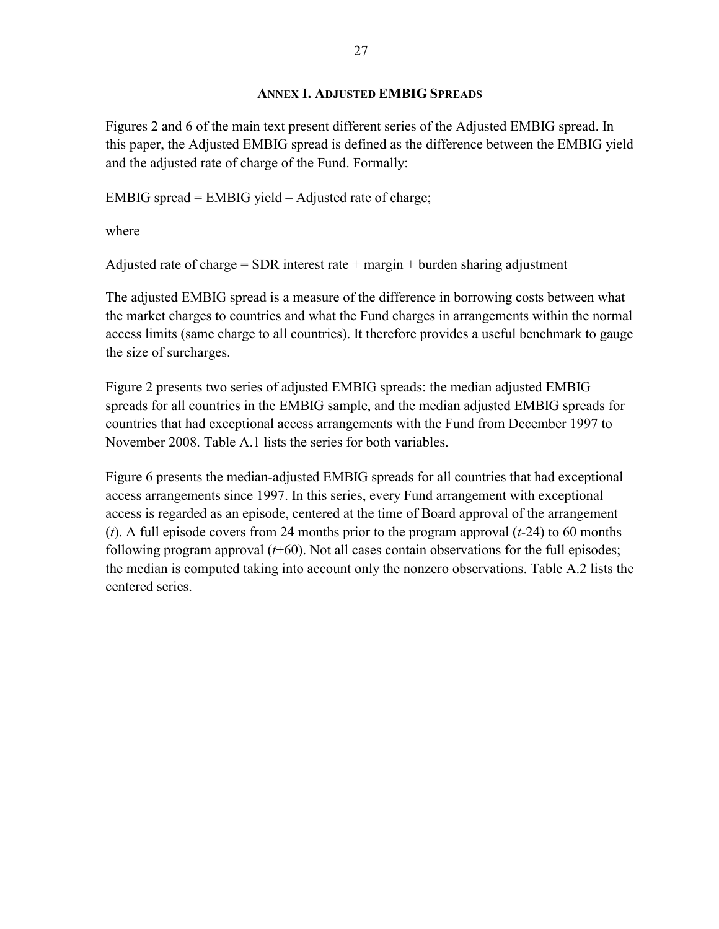### **ANNEX I. ADJUSTED EMBIG SPREADS**

<span id="page-26-0"></span>Figures 2 and 6 of the main text present different series of the Adjusted EMBIG spread. In this paper, the Adjusted EMBIG spread is defined as the difference between the EMBIG yield and the adjusted rate of charge of the Fund. Formally:

EMBIG spread = EMBIG yield – Adjusted rate of charge;

where

Adjusted rate of charge  $=$  SDR interest rate  $+$  margin  $+$  burden sharing adjustment

The adjusted EMBIG spread is a measure of the difference in borrowing costs between what the market charges to countries and what the Fund charges in arrangements within the normal access limits (same charge to all countries). It therefore provides a useful benchmark to gauge the size of surcharges.

Figure 2 presents two series of adjusted EMBIG spreads: the median adjusted EMBIG spreads for all countries in the EMBIG sample, and the median adjusted EMBIG spreads for countries that had exceptional access arrangements with the Fund from December 1997 to November 2008. Table A.1 lists the series for both variables.

Figure 6 presents the median-adjusted EMBIG spreads for all countries that had exceptional access arrangements since 1997. In this series, every Fund arrangement with exceptional access is regarded as an episode, centered at the time of Board approval of the arrangement (*t*). A full episode covers from 24 months prior to the program approval (*t*-24) to 60 months following program approval (*t*+60). Not all cases contain observations for the full episodes; the median is computed taking into account only the nonzero observations. Table A.2 lists the centered series.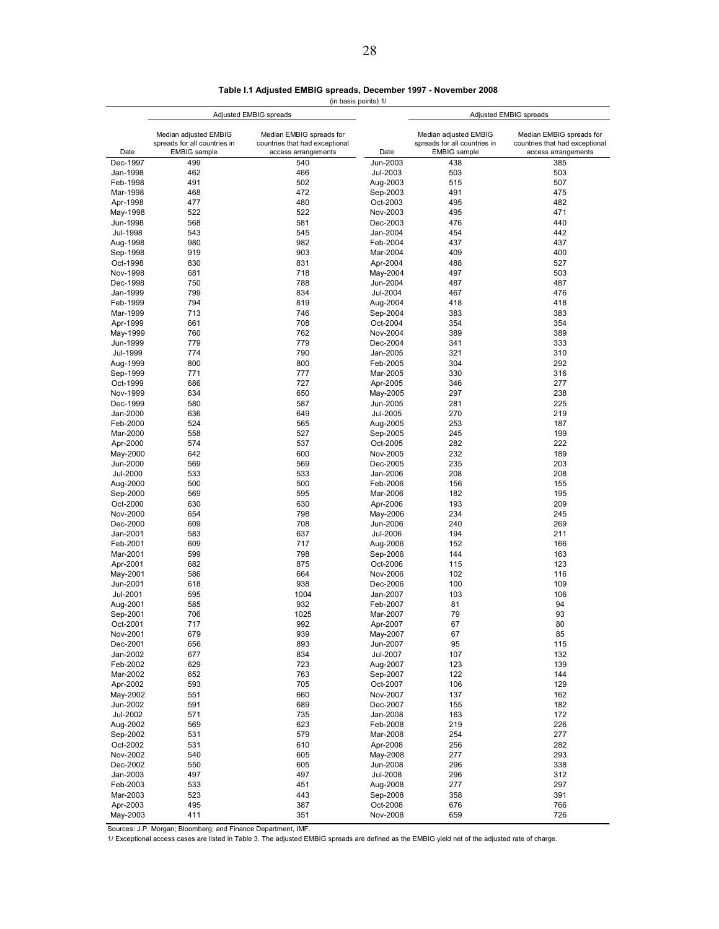**Table I.1 Adjusted EMBIG spreads, December 1997 - November 2008**

(in basis points) 1/

|                      |                                                       | Adjusted EMBIG spreads                                     |                      | Adjusted EMBIG spreads                                |                                                            |  |  |
|----------------------|-------------------------------------------------------|------------------------------------------------------------|----------------------|-------------------------------------------------------|------------------------------------------------------------|--|--|
|                      | Median adjusted EMBIG<br>spreads for all countries in | Median EMBIG spreads for<br>countries that had exceptional |                      | Median adjusted EMBIG<br>spreads for all countries in | Median EMBIG spreads for<br>countries that had exceptional |  |  |
| Date                 | <b>EMBIG</b> sample                                   | access arrangements                                        | Date                 | <b>EMBIG</b> sample                                   | access arrangements                                        |  |  |
| Dec-1997             | 499                                                   | 540                                                        | Jun-2003             | 438                                                   | 385                                                        |  |  |
| Jan-1998             | 462                                                   | 466                                                        | Jul-2003             | 503                                                   | 503                                                        |  |  |
| Feb-1998             | 491                                                   | 502                                                        | Aug-2003             | 515                                                   | 507                                                        |  |  |
| Mar-1998<br>Apr-1998 | 468<br>477                                            | 472<br>480                                                 | Sep-2003<br>Oct-2003 | 491<br>495                                            | 475<br>482                                                 |  |  |
| May-1998             | 522                                                   | 522                                                        | Nov-2003             | 495                                                   | 471                                                        |  |  |
| Jun-1998             | 568                                                   | 581                                                        | Dec-2003             | 476                                                   | 440                                                        |  |  |
| Jul-1998             | 543                                                   | 545                                                        | Jan-2004             | 454                                                   | 442                                                        |  |  |
| Aug-1998             | 980                                                   | 982                                                        | Feb-2004             | 437                                                   | 437                                                        |  |  |
| Sep-1998             | 919                                                   | 903                                                        | Mar-2004             | 409                                                   | 400                                                        |  |  |
| Oct-1998             | 830                                                   | 831                                                        | Apr-2004             | 488                                                   | 527                                                        |  |  |
| Nov-1998             | 681                                                   | 718                                                        | May-2004             | 497                                                   | 503                                                        |  |  |
| Dec-1998             | 750                                                   | 788                                                        | Jun-2004             | 487                                                   | 487                                                        |  |  |
| Jan-1999             | 799                                                   | 834                                                        | Jul-2004             | 467                                                   | 476                                                        |  |  |
| Feb-1999             | 794<br>713                                            | 819<br>746                                                 | Aug-2004             | 418                                                   | 418                                                        |  |  |
| Mar-1999<br>Apr-1999 | 661                                                   | 708                                                        | Sep-2004<br>Oct-2004 | 383<br>354                                            | 383<br>354                                                 |  |  |
| May-1999             | 760                                                   | 762                                                        | Nov-2004             | 389                                                   | 389                                                        |  |  |
| Jun-1999             | 779                                                   | 779                                                        | Dec-2004             | 341                                                   | 333                                                        |  |  |
| Jul-1999             | 774                                                   | 790                                                        | Jan-2005             | 321                                                   | 310                                                        |  |  |
| Aug-1999             | 800                                                   | 800                                                        | Feb-2005             | 304                                                   | 292                                                        |  |  |
| Sep-1999             | 771                                                   | 777                                                        | Mar-2005             | 330                                                   | 316                                                        |  |  |
| Oct-1999             | 686                                                   | 727                                                        | Apr-2005             | 346                                                   | 277                                                        |  |  |
| Nov-1999             | 634                                                   | 650                                                        | May-2005             | 297                                                   | 238                                                        |  |  |
| Dec-1999             | 580                                                   | 587                                                        | Jun-2005             | 281                                                   | 225                                                        |  |  |
| Jan-2000             | 636                                                   | 649                                                        | Jul-2005             | 270                                                   | 219                                                        |  |  |
| Feb-2000             | 524                                                   | 565                                                        | Aug-2005             | 253                                                   | 187                                                        |  |  |
| Mar-2000<br>Apr-2000 | 558<br>574                                            | 527<br>537                                                 | Sep-2005<br>Oct-2005 | 245<br>282                                            | 199<br>222                                                 |  |  |
| May-2000             | 642                                                   | 600                                                        | Nov-2005             | 232                                                   | 189                                                        |  |  |
| Jun-2000             | 569                                                   | 569                                                        | Dec-2005             | 235                                                   | 203                                                        |  |  |
| Jul-2000             | 533                                                   | 533                                                        | Jan-2006             | 208                                                   | 208                                                        |  |  |
| Aug-2000             | 500                                                   | 500                                                        | Feb-2006             | 156                                                   | 155                                                        |  |  |
| Sep-2000             | 569                                                   | 595                                                        | Mar-2006             | 182                                                   | 195                                                        |  |  |
| Oct-2000             | 630                                                   | 630                                                        | Apr-2006             | 193                                                   | 209                                                        |  |  |
| Nov-2000             | 654                                                   | 798                                                        | May-2006             | 234                                                   | 245                                                        |  |  |
| Dec-2000             | 609                                                   | 708                                                        | Jun-2006             | 240                                                   | 269                                                        |  |  |
| Jan-2001             | 583                                                   | 637                                                        | Jul-2006             | 194                                                   | 211                                                        |  |  |
| Feb-2001<br>Mar-2001 | 609<br>599                                            | 717<br>798                                                 | Aug-2006<br>Sep-2006 | 152<br>144                                            | 166<br>163                                                 |  |  |
| Apr-2001             | 682                                                   | 875                                                        | Oct-2006             | 115                                                   | 123                                                        |  |  |
| May-2001             | 586                                                   | 664                                                        | Nov-2006             | 102                                                   | 116                                                        |  |  |
| Jun-2001             | 618                                                   | 938                                                        | Dec-2006             | 100                                                   | 109                                                        |  |  |
| Jul-2001             | 595                                                   | 1004                                                       | Jan-2007             | 103                                                   | 106                                                        |  |  |
| Aug-2001             | 585                                                   | 932                                                        | Feb-2007             | 81                                                    | 94                                                         |  |  |
| Sep-2001             | 706                                                   | 1025                                                       | Mar-2007             | 79                                                    | 93                                                         |  |  |
| Oct-2001             | 717                                                   | 992                                                        | Apr-2007             | 67                                                    | 80                                                         |  |  |
| Nov-2001             | 679                                                   | 939                                                        | May-2007             | 67                                                    | 85                                                         |  |  |
| Dec-2001<br>Jan-2002 | 656<br>677                                            | 893<br>834                                                 | Jun-2007<br>Jul-2007 | 95<br>107                                             | 115<br>132                                                 |  |  |
| Feb-2002             | 629                                                   | 723                                                        | Aug-2007             | 123                                                   | 139                                                        |  |  |
| Mar-2002             | 652                                                   | 763                                                        | Sep-2007             | 122                                                   | 144                                                        |  |  |
| Apr-2002             | 593                                                   | 705                                                        | Oct-2007             | 106                                                   | 129                                                        |  |  |
| May-2002             | 551                                                   | 660                                                        | Nov-2007             | 137                                                   | 162                                                        |  |  |
| Jun-2002             | 591                                                   | 689                                                        | Dec-2007             | 155                                                   | 182                                                        |  |  |
| Jul-2002             | 571                                                   | 735                                                        | Jan-2008             | 163                                                   | 172                                                        |  |  |
| Aug-2002             | 569                                                   | 623                                                        | Feb-2008             | 219                                                   | 226                                                        |  |  |
| Sep-2002             | 531                                                   | 579                                                        | Mar-2008             | 254                                                   | 277                                                        |  |  |
| Oct-2002             | 531                                                   | 610                                                        | Apr-2008             | 256                                                   | 282                                                        |  |  |
| Nov-2002             | 540                                                   | 605                                                        | May-2008             | 277                                                   | 293                                                        |  |  |
| Dec-2002<br>Jan-2003 | 550<br>497                                            | 605<br>497                                                 | Jun-2008<br>Jul-2008 | 296<br>296                                            | 338<br>312                                                 |  |  |
| Feb-2003             | 533                                                   | 451                                                        | Aug-2008             | 277                                                   | 297                                                        |  |  |
| Mar-2003             | 523                                                   | 443                                                        | Sep-2008             | 358                                                   | 391                                                        |  |  |
| Apr-2003             | 495                                                   | 387                                                        | Oct-2008             | 676                                                   | 766                                                        |  |  |
| May-2003             | 411                                                   | 351                                                        | Nov-2008             | 659                                                   | 726                                                        |  |  |

Sources: J.P. Morgan; Bloomberg; and Finance Department, IMF.

1/ Exceptional access cases are listed in Table 3. The adjusted EMBIG spreads are defined as the EMBIG yield net of the adjusted rate of charge.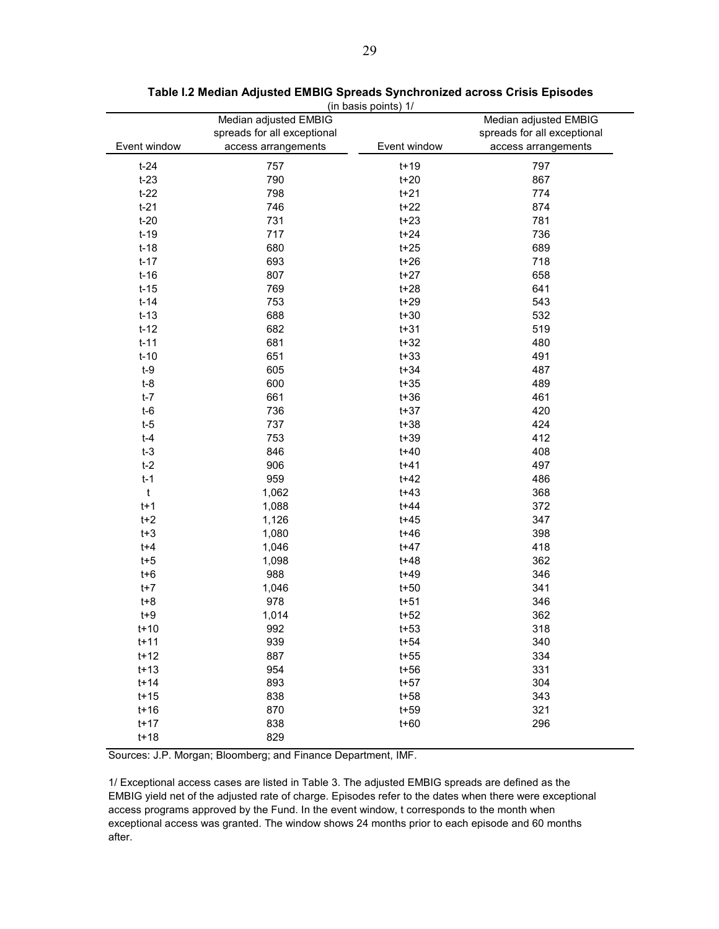| (in basis polnus) 17 |                             |              |                             |  |  |  |  |  |  |
|----------------------|-----------------------------|--------------|-----------------------------|--|--|--|--|--|--|
|                      | Median adjusted EMBIG       |              | Median adjusted EMBIG       |  |  |  |  |  |  |
|                      | spreads for all exceptional |              | spreads for all exceptional |  |  |  |  |  |  |
| Event window         | access arrangements         | Event window | access arrangements         |  |  |  |  |  |  |
| $t-24$               | 757                         | $t+19$       | 797                         |  |  |  |  |  |  |
| $t-23$               | 790                         | $t+20$       | 867                         |  |  |  |  |  |  |
| $t-22$               | 798                         | $t+21$       | 774                         |  |  |  |  |  |  |
| $t-21$               | 746                         | $t+22$       | 874                         |  |  |  |  |  |  |
| $t-20$               | 731                         | $t+23$       | 781                         |  |  |  |  |  |  |
| $t-19$               | 717                         | $t+24$       | 736                         |  |  |  |  |  |  |
| $t-18$               | 680                         | $t+25$       | 689                         |  |  |  |  |  |  |
| $t-17$               | 693                         | $t+26$       | 718                         |  |  |  |  |  |  |
| $t-16$               | 807                         | $t+27$       | 658                         |  |  |  |  |  |  |
| $t-15$               | 769                         | $t+28$       | 641                         |  |  |  |  |  |  |
| $t-14$               | 753                         | $t+29$       | 543                         |  |  |  |  |  |  |
| $t-13$               | 688                         | $t+30$       | 532                         |  |  |  |  |  |  |
| $t-12$               | 682                         | $t + 31$     | 519                         |  |  |  |  |  |  |
| $t-11$               | 681                         | $t+32$       | 480                         |  |  |  |  |  |  |
| $t-10$               | 651                         | $t + 33$     | 491                         |  |  |  |  |  |  |
| $t-9$                | 605                         | $t + 34$     | 487                         |  |  |  |  |  |  |
| $t-8$                | 600                         | $t + 35$     | 489                         |  |  |  |  |  |  |
| $t-7$                | 661                         | $t + 36$     | 461                         |  |  |  |  |  |  |
| $t-6$                | 736                         | $t+37$       | 420                         |  |  |  |  |  |  |
| $t-5$                | 737                         | $t + 38$     | 424                         |  |  |  |  |  |  |
| $t-4$                | 753                         | $t+39$       | 412                         |  |  |  |  |  |  |
| $t-3$                | 846                         | $t + 40$     | 408                         |  |  |  |  |  |  |
| $t-2$                | 906                         | $t + 41$     | 497                         |  |  |  |  |  |  |
| $t-1$                | 959                         | $t + 42$     | 486                         |  |  |  |  |  |  |
| $\mathfrak{t}$       | 1,062                       | $t + 43$     | 368                         |  |  |  |  |  |  |
| $t+1$                | 1,088                       | $t + 44$     | 372                         |  |  |  |  |  |  |
| $t+2$                | 1,126                       | $t + 45$     | 347                         |  |  |  |  |  |  |
| $t + 3$              | 1,080                       | $t + 46$     | 398                         |  |  |  |  |  |  |
| $t + 4$              | 1,046                       | $t + 47$     | 418                         |  |  |  |  |  |  |
| $t+5$                | 1,098                       | $t + 48$     | 362                         |  |  |  |  |  |  |
| $t + 6$              | 988                         | $t + 49$     | 346                         |  |  |  |  |  |  |
| $t+7$                | 1,046                       | $t+50$       | 341                         |  |  |  |  |  |  |
| $t+8$                | 978                         | $t + 51$     | 346                         |  |  |  |  |  |  |
| $t+9$                | 1,014                       | $t + 52$     | 362                         |  |  |  |  |  |  |
| $t+10$               | 992                         | $t + 53$     | 318                         |  |  |  |  |  |  |
| $t+11$               | 939                         | $t + 54$     | 340                         |  |  |  |  |  |  |
| $t+12$               | 887                         | $t+55$       | 334                         |  |  |  |  |  |  |
| $t+13$               | 954                         | $t + 56$     | 331                         |  |  |  |  |  |  |
| $t+14$               | 893                         | $t + 57$     | 304                         |  |  |  |  |  |  |
| $t+15$               | 838                         | $t + 58$     | 343                         |  |  |  |  |  |  |
| $t+16$               | 870                         | $t + 59$     | 321                         |  |  |  |  |  |  |
| $t+17$               | 838                         | $t + 60$     | 296                         |  |  |  |  |  |  |
| $t+18$               | 829                         |              |                             |  |  |  |  |  |  |

#### **Table I.2 Median Adjusted EMBIG Spreads Synchronized across Crisis Episodes** (in basis points) 1/

Ĭ.

Ĭ.

Sources: J.P. Morgan; Bloomberg; and Finance Department, IMF.

1/ Exceptional access cases are listed in Table 3. The adjusted EMBIG spreads are defined as the EMBIG yield net of the adjusted rate of charge. Episodes refer to the dates when there were exceptional access programs approved by the Fund. In the event window, t corresponds to the month when exceptional access was granted. The window shows 24 months prior to each episode and 60 months after.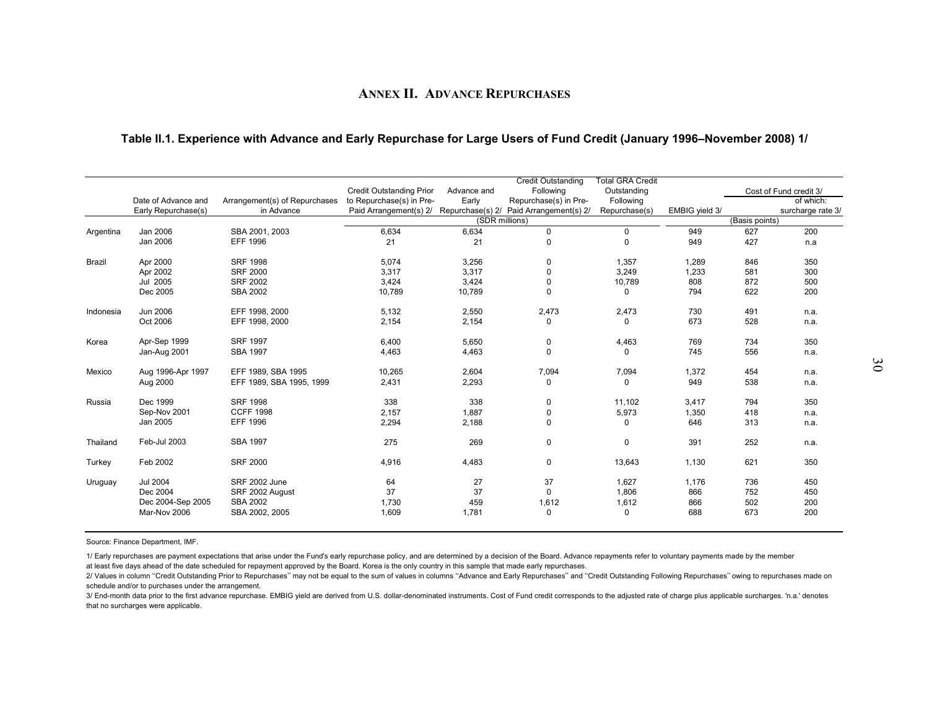### **ANNEX II. ADVANCE REPURCHASES**

#### **Table II.1. Experience with Advance and Early Repurchase for Large Users of Fund Credit (January 1996–November 2008) 1/**

|           | Date of Advance and<br>Early Repurchase(s) | Arrangement(s) of Repurchases<br>in Advance | <b>Credit Outstanding Prior</b><br>to Repurchase(s) in Pre-<br>Paid Arrangement(s) 2/ | Advance and<br>Early | <b>Credit Outstanding</b><br>Following<br>Repurchase(s) in Pre-<br>Repurchase(s) 2/ Paid Arrangement(s) 2/ | <b>Total GRA Credit</b><br>Outstanding<br>Following<br>Repurchase(s) | EMBIG yield 3/ |                | Cost of Fund credit 3/<br>of which:<br>surcharge rate 3/ |
|-----------|--------------------------------------------|---------------------------------------------|---------------------------------------------------------------------------------------|----------------------|------------------------------------------------------------------------------------------------------------|----------------------------------------------------------------------|----------------|----------------|----------------------------------------------------------|
|           |                                            |                                             |                                                                                       |                      | (SDR millions)                                                                                             |                                                                      |                | (Basis points) |                                                          |
| Argentina | Jan 2006                                   | SBA 2001, 2003                              | 6,634                                                                                 | 6,634                | $\mathbf 0$                                                                                                | $\mathbf 0$                                                          | 949            | 627            | 200                                                      |
|           | Jan 2006                                   | <b>EFF 1996</b>                             | 21                                                                                    | 21                   | $\Omega$                                                                                                   | $\Omega$                                                             | 949            | 427            | n.a                                                      |
| Brazil    | Apr 2000                                   | <b>SRF 1998</b>                             | 5,074                                                                                 | 3,256                | 0                                                                                                          | 1,357                                                                | 1,289          | 846            | 350                                                      |
|           | Apr 2002                                   | <b>SRF 2000</b>                             | 3,317                                                                                 | 3,317                | $\Omega$                                                                                                   | 3,249                                                                | 1,233          | 581            | 300                                                      |
|           | Jul 2005                                   | <b>SRF 2002</b>                             | 3,424                                                                                 | 3,424                | 0                                                                                                          | 10,789                                                               | 808            | 872            | 500                                                      |
|           | Dec 2005                                   | <b>SBA 2002</b>                             | 10,789                                                                                | 10,789               | 0                                                                                                          | 0                                                                    | 794            | 622            | 200                                                      |
| Indonesia | Jun 2006                                   | EFF 1998, 2000                              | 5,132                                                                                 | 2,550                | 2,473                                                                                                      | 2,473                                                                | 730            | 491            | n.a.                                                     |
|           | Oct 2006                                   | EFF 1998, 2000                              | 2,154                                                                                 | 2,154                | $\Omega$                                                                                                   | 0                                                                    | 673            | 528            | n.a.                                                     |
| Korea     | Apr-Sep 1999                               | <b>SRF 1997</b>                             | 6,400                                                                                 | 5,650                | 0                                                                                                          | 4,463                                                                | 769            | 734            | 350                                                      |
|           | Jan-Aug 2001                               | <b>SBA 1997</b>                             | 4,463                                                                                 | 4,463                | $\Omega$                                                                                                   | 0                                                                    | 745            | 556            | n.a.                                                     |
| Mexico    | Aug 1996-Apr 1997                          | EFF 1989, SBA 1995                          | 10,265                                                                                | 2,604                | 7,094                                                                                                      | 7,094                                                                | 1,372          | 454            | n.a.                                                     |
|           | Aug 2000                                   | EFF 1989, SBA 1995, 1999                    | 2,431                                                                                 | 2,293                | 0                                                                                                          | 0                                                                    | 949            | 538            | n.a.                                                     |
| Russia    | Dec 1999                                   | <b>SRF 1998</b>                             | 338                                                                                   | 338                  | 0                                                                                                          | 11.102                                                               | 3,417          | 794            | 350                                                      |
|           | Sep-Nov 2001                               | <b>CCFF 1998</b>                            | 2,157                                                                                 | 1,887                | $\mathbf 0$                                                                                                | 5,973                                                                | 1,350          | 418            | n.a.                                                     |
|           | Jan 2005                                   | <b>EFF 1996</b>                             | 2,294                                                                                 | 2,188                | $\Omega$                                                                                                   | 0                                                                    | 646            | 313            | n.a.                                                     |
| Thailand  | Feb-Jul 2003                               | <b>SBA 1997</b>                             | 275                                                                                   | 269                  | 0                                                                                                          | $\pmb{0}$                                                            | 391            | 252            | n.a.                                                     |
| Turkey    | Feb 2002                                   | <b>SRF 2000</b>                             | 4,916                                                                                 | 4,483                | 0                                                                                                          | 13,643                                                               | 1,130          | 621            | 350                                                      |
| Uruguay   | <b>Jul 2004</b>                            | <b>SRF 2002 June</b>                        | 64                                                                                    | 27                   | 37                                                                                                         | 1,627                                                                | 1,176          | 736            | 450                                                      |
|           | Dec 2004                                   | SRF 2002 August                             | 37                                                                                    | 37                   | $\mathbf 0$                                                                                                | 1,806                                                                | 866            | 752            | 450                                                      |
|           | Dec 2004-Sep 2005                          | <b>SBA 2002</b>                             | 1,730                                                                                 | 459                  | 1,612                                                                                                      | 1,612                                                                | 866            | 502            | 200                                                      |
|           | Mar-Nov 2006                               | SBA 2002, 2005                              | 1,609                                                                                 | 1,781                | 0                                                                                                          | 0                                                                    | 688            | 673            | 200                                                      |

Source: Finance Department, IMF.

1/ Early repurchases are payment expectations that arise under the Fund's early repurchase policy, and are determined by a decision of the Board. Advance repayments refer to voluntary payments made by the member

at least five days ahead of the date scheduled for repayment approved by the Board. Korea is the only country in this sample that made early repurchases.

2/ Values in column "Credit Outstanding Prior to Repurchases" may not be equal to the sum of values in columns "Advance and Early Repurchases" and "Credit Outstanding Following Repurchases" owing to repurchases made on schedule and/or to purchases under the arrangement.

<span id="page-29-0"></span>3/ End-month data prior to the first advance repurchase. EMBIG yield are derived from U.S. dollar-denominated instruments. Cost of Fund credit corresponds to the adjusted rate of charge plus applicable surcharges. 'n.a.' d that no surcharges were applicable.